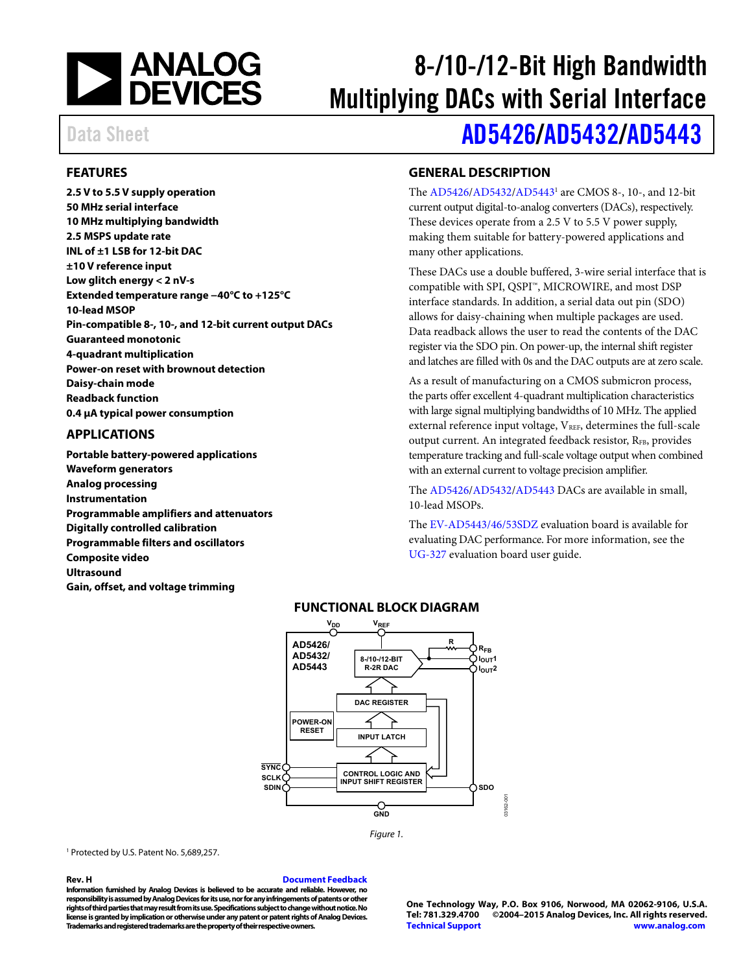

# 8-/10-/12-Bit High Bandwidth Multiplying DACs with Serial Interface

# Data Sheet **[AD5426/](http://www.analog.com/AD5426?doc=ad5426_5432_5443.pdf)[AD5432/](http://www.analog.com/AD5432?doc=ad5426_5432_5443.pdf)[AD5443](http://www.analog.com/AD5443?doc=ad5426_5432_5443.pdf)**

### <span id="page-0-0"></span>**FEATURES**

**2.5 V to 5.5 V supply operation 50 MHz serial interface 10 MHz multiplying bandwidth 2.5 MSPS update rate INL of ±1 LSB for 12-bit DAC ±10 V reference input Low glitch energy < 2 nV-s Extended temperature range −40°C to +125°C 10-lead MSOP Pin-compatible 8-, 10-, and 12-bit current output DACs Guaranteed monotonic 4-quadrant multiplication Power-on reset with brownout detection Daisy-chain mode Readback function 0.4 µA typical power consumption**

#### <span id="page-0-1"></span>**APPLICATIONS**

<span id="page-0-3"></span>**Portable battery-powered applications Waveform generators Analog processing Instrumentation Programmable amplifiers and attenuators Digitally controlled calibration Programmable filters and oscillators Composite video Ultrasound Gain, offset, and voltage trimming**

### <span id="page-0-2"></span>**GENERAL DESCRIPTION**

The [AD5426](http://www.analog.com/AD5426?doc=ad5426_5432_5443.pdf)[/AD5432/](http://www.analog.com/AD5432?doc=ad5426_5432_5443.pdf)[AD54431](http://www.analog.com/AD5443?doc=ad5426_5432_5443.pdf) are CMOS 8-, 10-, and 12-bit current output digital-to-analog converters (DACs), respectively. These devices operate from a 2.5 V to 5.5 V power supply, making them suitable for battery-powered applications and many other applications.

These DACs use a double buffered, 3-wire serial interface that is compatible with SPI, QSPI™, MICROWIRE, and most DSP interface standards. In addition, a serial data out pin (SDO) allows for daisy-chaining when multiple packages are used. Data readback allows the user to read the contents of the DAC register via the SDO pin. On power-up, the internal shift register and latches are filled with 0s and the DAC outputs are at zero scale.

As a result of manufacturing on a CMOS submicron process, the parts offer excellent 4-quadrant multiplication characteristics with large signal multiplying bandwidths of 10 MHz. The applied external reference input voltage, VREF, determines the full-scale output current. An integrated feedback resistor, RFB, provides temperature tracking and full-scale voltage output when combined with an external current to voltage precision amplifier.

The [AD5426](http://www.analog.com/AD5426?doc=ad5426_5432_5443.pdf)[/AD5432/](http://www.analog.com/AD5432?doc=ad5426_5432_5443.pdf)[AD5443](http://www.analog.com/AD5443?doc=ad5426_5432_5443.pdf) DACs are available in small, 10-lead MSOPs.

The [EV-AD5443/46/53SDZ](http://www.analog.com/UG-327?doc=ad5426_5432_5443.pdf) evaluation board is available for evaluating DAC performance. For more information, see the [UG-327](http://www.analog.com/UG-327?doc=ad5426_5432_5443.pdf) evaluation board user guide.

### **FUNCTIONAL BLOCK DIAGRAM**



*Figure 1.*

<sup>1</sup> Protected by U.S. Patent No. 5,689,257.

#### **Rev. H [Document Feedback](https://form.analog.com/Form_Pages/feedback/documentfeedback.aspx?doc=AD5426_5432_5443.pdf&product=AD5426/AD5432/AD5443&rev=H)**

**Information furnished by Analog Devices is believed to be accurate and reliable. However, no responsibility is assumed by Analog Devices for its use, nor for any infringements of patents or other rights of third parties that may result from its use. Specifications subject to change without notice. No license is granted by implication or otherwise under any patent or patent rights of Analog Devices. Trademarks and registered trademarks are the property of their respective owners.**

**One Technology Way, P.O. Box 9106, Norwood, MA 02062-9106, U.S.A. Tel: 781.329.4700 ©2004–2015 Analog Devices, Inc. All rights reserved. [Technical Support](http://www.analog.com/en/content/technical_support_page/fca.html) [www.analog.com](http://www.analog.com/)**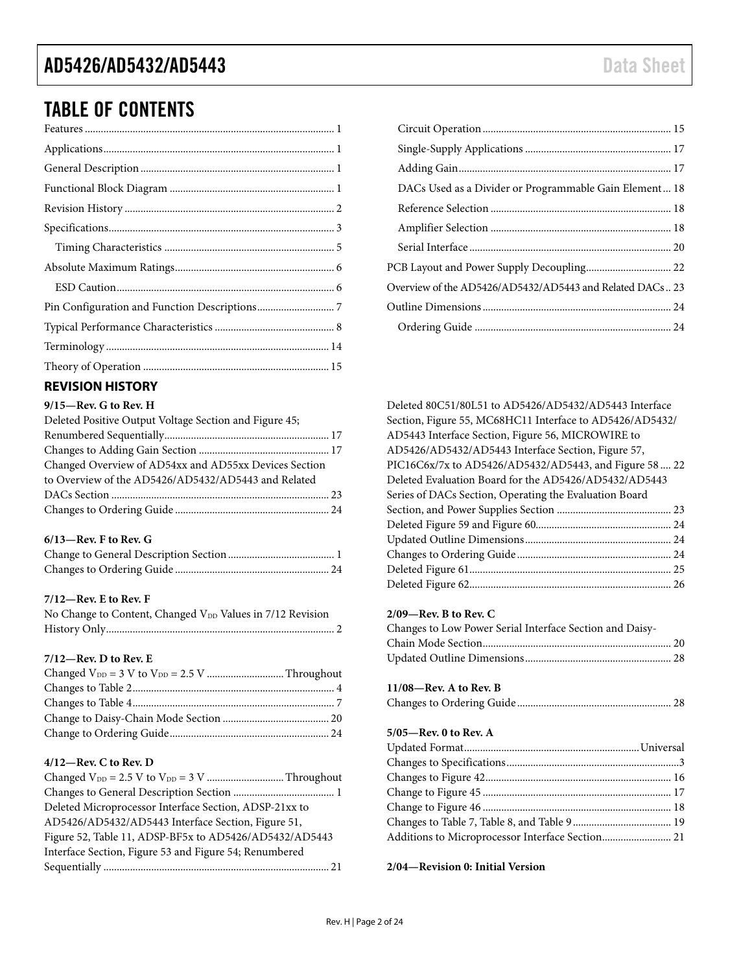## TABLE OF CONTENTS

#### <span id="page-1-0"></span>**REVISION HISTORY**

#### **9/15—Rev. G to Rev. H**

| Deleted Positive Output Voltage Section and Figure 45; |  |
|--------------------------------------------------------|--|
|                                                        |  |
|                                                        |  |
| Changed Overview of AD54xx and AD55xx Devices Section  |  |
| to Overview of the AD5426/AD5432/AD5443 and Related    |  |
|                                                        |  |
|                                                        |  |
|                                                        |  |

#### **6/13—Rev. F to Rev. G**

#### **7/12—Rev. E to Rev. F**

| No Change to Content, Changed V <sub>DD</sub> Values in 7/12 Revision |  |
|-----------------------------------------------------------------------|--|
|                                                                       |  |

#### **7/12—Rev. D to Rev. E**

#### **4/12—Rev. C to Rev. D**

| Deleted Microprocessor Interface Section, ADSP-21xx to |
|--------------------------------------------------------|
| AD5426/AD5432/AD5443 Interface Section, Figure 51,     |
| Figure 52, Table 11, ADSP-BF5x to AD5426/AD5432/AD5443 |
| Interface Section, Figure 53 and Figure 54; Renumbered |
|                                                        |
|                                                        |

| DACs Used as a Divider or Programmable Gain Element 18   |
|----------------------------------------------------------|
|                                                          |
|                                                          |
|                                                          |
|                                                          |
| Overview of the AD5426/AD5432/AD5443 and Related DACs 23 |
|                                                          |
|                                                          |

| Deleted 80C51/80L51 to AD5426/AD5432/AD5443 Interface    |  |
|----------------------------------------------------------|--|
| Section, Figure 55, MC68HC11 Interface to AD5426/AD5432/ |  |
| AD5443 Interface Section, Figure 56, MICROWIRE to        |  |
| AD5426/AD5432/AD5443 Interface Section, Figure 57,       |  |
| PIC16C6x/7x to AD5426/AD5432/AD5443, and Figure 58  22   |  |
| Deleted Evaluation Board for the AD5426/AD5432/AD5443    |  |
| Series of DACs Section, Operating the Evaluation Board   |  |
|                                                          |  |
|                                                          |  |
|                                                          |  |
|                                                          |  |
|                                                          |  |
|                                                          |  |

#### **2/09—Rev. B to Rev. C**

| Changes to Low Power Serial Interface Section and Daisy- |  |
|----------------------------------------------------------|--|
|                                                          |  |
|                                                          |  |

### **11/08—Rev. A to Rev. B**

|--|--|

#### **5/05—Rev. 0 to Rev. A**

| Additions to Microprocessor Interface Section 21 |  |
|--------------------------------------------------|--|

**2/04—Revision 0: Initial Version**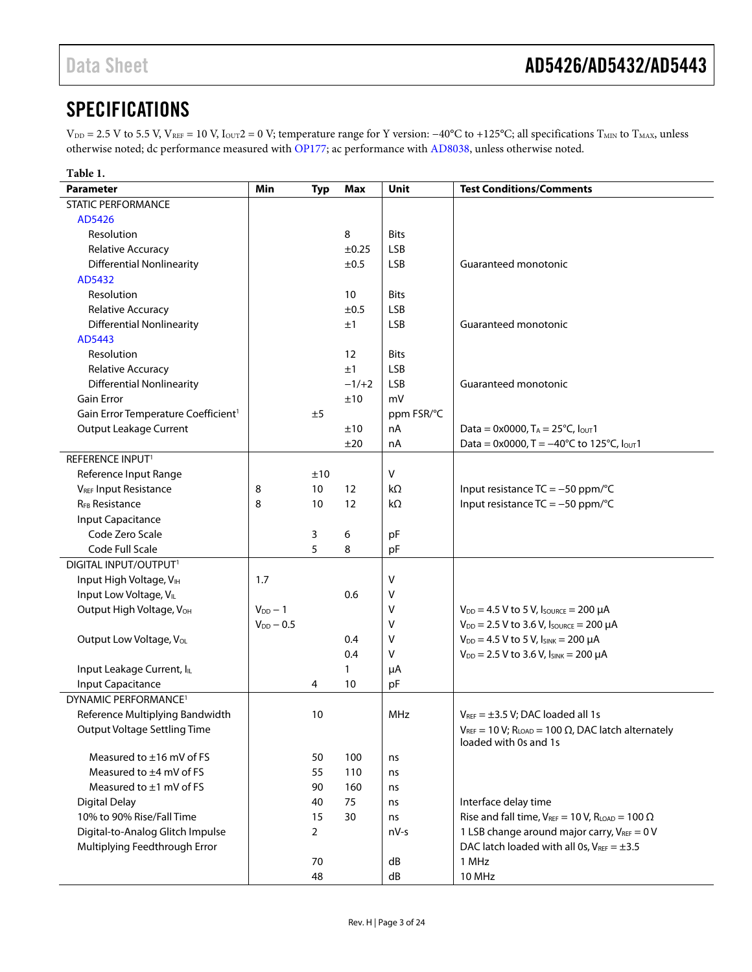### <span id="page-2-0"></span>**SPECIFICATIONS**

V<sub>DD</sub> = 2.5 V to 5.5 V, V<sub>REF</sub> = 10 V, I<sub>OUT</sub>2 = 0 V; temperature range for Y version: −40°C to +125°C; all specifications T<sub>MIN</sub> to T<sub>MAX</sub>, unless otherwise noted; dc performance measured with [OP177;](http://www.analog.com/OP177?doc=ad5426_5432_5443.pdf) ac performance wit[h AD8038,](http://www.analog.com/AD8038?doc=ad5426_5432_5443.pdf) unless otherwise noted.

| Table 1.                                        |                |                 |              |             |                                                                |
|-------------------------------------------------|----------------|-----------------|--------------|-------------|----------------------------------------------------------------|
| <b>Parameter</b>                                | Min            | <b>Typ</b>      | <b>Max</b>   | <b>Unit</b> | <b>Test Conditions/Comments</b>                                |
| STATIC PERFORMANCE                              |                |                 |              |             |                                                                |
| AD5426                                          |                |                 |              |             |                                                                |
| Resolution                                      |                |                 | 8            | <b>Bits</b> |                                                                |
| Relative Accuracy                               |                |                 | ±0.25        | <b>LSB</b>  |                                                                |
| <b>Differential Nonlinearity</b>                |                |                 | ±0.5         | <b>LSB</b>  | Guaranteed monotonic                                           |
| AD5432                                          |                |                 |              |             |                                                                |
| Resolution                                      |                |                 | 10           | <b>Bits</b> |                                                                |
| Relative Accuracy                               |                |                 | ±0.5         | <b>LSB</b>  |                                                                |
| <b>Differential Nonlinearity</b>                |                |                 | ±1           | <b>LSB</b>  | Guaranteed monotonic                                           |
| AD5443                                          |                |                 |              |             |                                                                |
| Resolution                                      |                |                 | 12           | <b>Bits</b> |                                                                |
| Relative Accuracy                               |                |                 | ±1           | <b>LSB</b>  |                                                                |
| <b>Differential Nonlinearity</b>                |                |                 | $-1/+2$      | <b>LSB</b>  | Guaranteed monotonic                                           |
| <b>Gain Error</b>                               |                |                 | ±10          | mV          |                                                                |
| Gain Error Temperature Coefficient <sup>1</sup> |                | ±5              |              | ppm FSR/°C  |                                                                |
| Output Leakage Current                          |                |                 | ±10          | nA          | Data = $0x0000$ , T <sub>A</sub> = $25^{\circ}$ C, Iout1       |
|                                                 |                |                 | ±20          | nA          | Data = 0x0000, T = $-40^{\circ}$ C to 125°C, lout1             |
| <b>REFERENCE INPUT1</b>                         |                |                 |              |             |                                                                |
| Reference Input Range                           |                | ±10             |              | $\vee$      |                                                                |
| V <sub>REF</sub> Input Resistance               | 8              | 10 <sup>°</sup> | 12           | $k\Omega$   | Input resistance $TC = -50$ ppm/°C                             |
| <b>R<sub>FB</sub></b> Resistance                | 8              | 10              | 12           | kΩ          | Input resistance $TC = -50$ ppm/°C                             |
| Input Capacitance                               |                |                 |              |             |                                                                |
| Code Zero Scale                                 |                | 3               | 6            | pF          |                                                                |
| Code Full Scale                                 |                | 5               | 8            | pF          |                                                                |
| DIGITAL INPUT/OUTPUT <sup>1</sup>               |                |                 |              |             |                                                                |
| Input High Voltage, VIH                         | 1.7            |                 |              | V           |                                                                |
| Input Low Voltage, VIL                          |                |                 | 0.6          | V           |                                                                |
| Output High Voltage, VOH                        | $V_{DD}$ - 1   |                 |              | $\vee$      | $V_{DD} = 4.5 V$ to 5 V, Isource = 200 µA                      |
|                                                 | $V_{DD}$ - 0.5 |                 |              | $\vee$      | $V_{DD} = 2.5 V$ to 3.6 V, Isource = 200 µA                    |
| Output Low Voltage, VoL                         |                |                 | 0.4          | V           | $V_{DD} = 4.5 V$ to 5 V, $I_{SINK} = 200 \mu A$                |
|                                                 |                |                 | 0.4          | V           | $V_{DD} = 2.5 V$ to 3.6 V, $I_{SINK} = 200 \mu A$              |
| Input Leakage Current, IL                       |                |                 | $\mathbf{1}$ | μA          |                                                                |
| Input Capacitance                               |                | 4               | 10           | pF          |                                                                |
| DYNAMIC PERFORMANCE <sup>1</sup>                |                |                 |              |             |                                                                |
| Reference Multiplying Bandwidth                 |                | 10              |              | MHz         | $V_{\text{REF}} = \pm 3.5$ V: DAC loaded all 1s                |
| <b>Output Voltage Settling Time</b>             |                |                 |              |             | $V_{REF}$ = 10 V; RLOAD = 100 $\Omega$ , DAC latch alternately |
|                                                 |                |                 |              |             | loaded with 0s and 1s                                          |
| Measured to $\pm 16$ mV of FS                   |                | 50              | 100          | ns          |                                                                |
| Measured to ±4 mV of FS                         |                | 55              | 110          | ns          |                                                                |
| Measured to $\pm 1$ mV of FS                    |                | 90              | 160          | ns          |                                                                |
| <b>Digital Delay</b>                            |                | 40              | 75           | ns          | Interface delay time                                           |
| 10% to 90% Rise/Fall Time                       |                | 15              | 30           | ns          | Rise and fall time, $V_{REF} = 10 V$ , $R_{LOAD} = 100 \Omega$ |
| Digital-to-Analog Glitch Impulse                |                | $\overline{2}$  |              | nV-s        | 1 LSB change around major carry, VREF = 0 V                    |
| Multiplying Feedthrough Error                   |                |                 |              |             | DAC latch loaded with all 0s, $V_{REF} = \pm 3.5$              |
|                                                 |                | 70              |              | dB          | 1 MHz                                                          |
|                                                 |                | 48              |              | dB          | 10 MHz                                                         |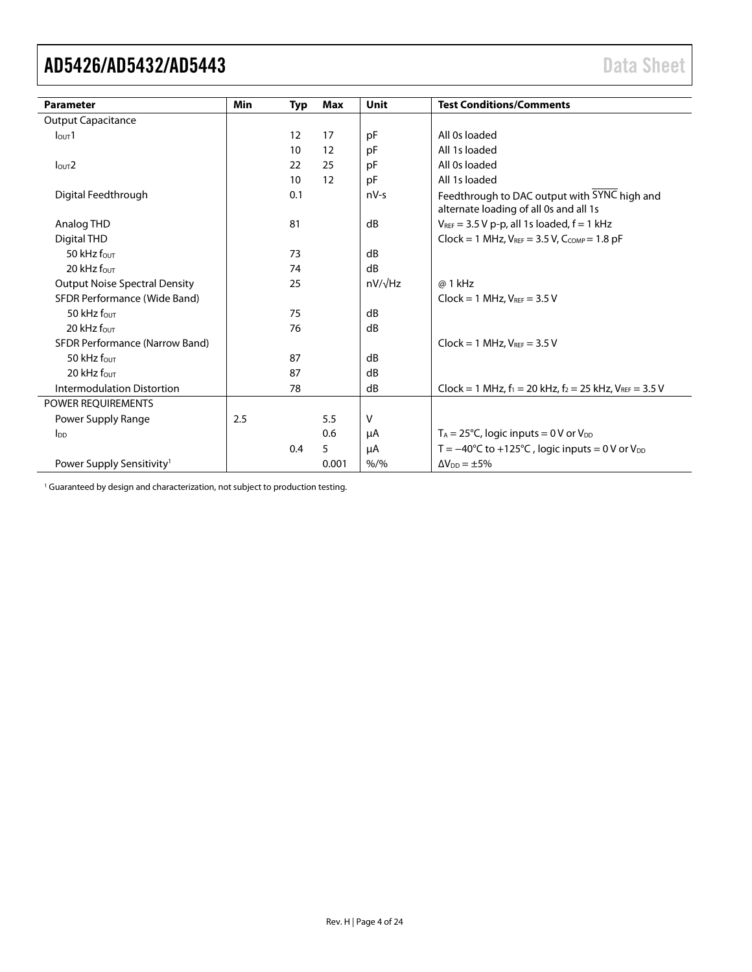<span id="page-3-0"></span>

| <b>Parameter</b>                      | <b>Min</b> | Typ | Max               | <b>Unit</b>    | <b>Test Conditions/Comments</b>                                                        |
|---------------------------------------|------------|-----|-------------------|----------------|----------------------------------------------------------------------------------------|
| <b>Output Capacitance</b>             |            |     |                   |                |                                                                                        |
| I <sub>OUT</sub> 1                    |            | 12  | 17                | pF             | All 0s loaded                                                                          |
|                                       |            | 10  | $12 \overline{ }$ | pF             | All 1s loaded                                                                          |
| I <sub>OUT</sub> 2                    |            | 22  | 25                | pF             | All 0s loaded                                                                          |
|                                       |            | 10  | $12 \overline{ }$ | pF             | All 1s loaded                                                                          |
| Digital Feedthrough                   |            | 0.1 |                   | $nV-s$         | Feedthrough to DAC output with SYNC high and<br>alternate loading of all 0s and all 1s |
| Analog THD                            |            | 81  |                   | dB             | $V_{REF}$ = 3.5 V p-p, all 1s loaded, $f = 1$ kHz                                      |
| Digital THD                           |            |     |                   |                | $Clock = 1 MHz, V_{REF} = 3.5 V, C_{COMP} = 1.8 pF$                                    |
| 50 kHz four                           |            | 73  |                   | dB             |                                                                                        |
| 20 kHz four                           |            | 74  |                   | dB             |                                                                                        |
| <b>Output Noise Spectral Density</b>  |            | 25  |                   | $nV/\sqrt{Hz}$ | @ 1 kHz                                                                                |
| SFDR Performance (Wide Band)          |            |     |                   |                | $Clock = 1 MHz, V_{REF} = 3.5 V$                                                       |
| 50 kHz $f_{\text{OUT}}$               |            | 75  |                   | dB             |                                                                                        |
| 20 kHz four                           |            | 76  |                   | dB             |                                                                                        |
| SFDR Performance (Narrow Band)        |            |     |                   |                | $Clock = 1 MHz, V_{REF} = 3.5 V$                                                       |
| 50 kHz four                           |            | 87  |                   | dB             |                                                                                        |
| 20 kHz four                           |            | 87  |                   | dB             |                                                                                        |
| Intermodulation Distortion            |            | 78  |                   | dB             | Clock = 1 MHz, $f_1$ = 20 kHz, $f_2$ = 25 kHz, $V_{REF}$ = 3.5 V                       |
| <b>POWER REOUIREMENTS</b>             |            |     |                   |                |                                                                                        |
| Power Supply Range                    | 2.5        |     | 5.5               | v              |                                                                                        |
| $I_{DD}$                              |            |     | 0.6               | μA             | $T_A = 25^{\circ}$ C, logic inputs = 0 V or V <sub>DD</sub>                            |
|                                       |            | 0.4 | 5                 | μA             | T = $-40^{\circ}$ C to +125 $^{\circ}$ C, logic inputs = 0 V or V <sub>DD</sub>        |
| Power Supply Sensitivity <sup>1</sup> |            |     | 0.001             | $% /$ %        | $\Delta V_{DD} = \pm 5\%$                                                              |

<sup>1</sup> Guaranteed by design and characterization, not subject to production testing.

l.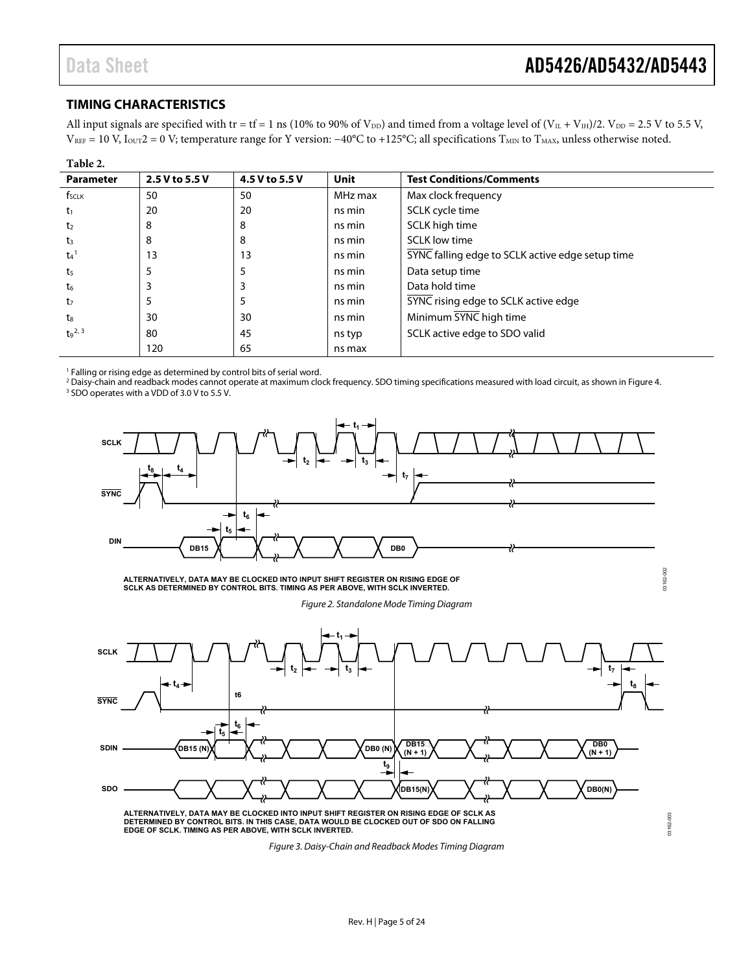#### <span id="page-4-0"></span>**TIMING CHARACTERISTICS**

All input signals are specified with tr = tf = 1 ns (10% to 90% of  $V_{DD}$ ) and timed from a voltage level of ( $V_{IL} + V_{IH}$ )/2.  $V_{DD} = 2.5$  V to 5.5 V,  $V_{REF} = 10$  V,  $I_{OUT} = 0$  V; temperature range for Y version:  $-40^{\circ}\text{C}$  to +125°C; all specifications  $T_{MIN}$  to  $T_{MAX}$ , unless otherwise noted.

| Table 2.           |                |                |             |                                                  |
|--------------------|----------------|----------------|-------------|--------------------------------------------------|
| <b>Parameter</b>   | 2.5 V to 5.5 V | 4.5 V to 5.5 V | <b>Unit</b> | <b>Test Conditions/Comments</b>                  |
| $f_{SCLK}$         | 50             | 50             | MHz max     | Max clock frequency                              |
| t1                 | 20             | 20             | ns min      | SCLK cycle time                                  |
| t <sub>2</sub>     | 8              | 8              | ns min      | SCLK high time                                   |
| t3                 | 8              | 8              | ns min      | <b>SCLK low time</b>                             |
| $t_4$ <sup>1</sup> | 13             | 13             | ns min      | SYNC falling edge to SCLK active edge setup time |
| t5                 | 5              | 5              | ns min      | Data setup time                                  |
| t6                 | 3              | 3              | ns min      | Data hold time                                   |
| t7                 | 5              | 5              | ns min      | SYNC rising edge to SCLK active edge             |
| ts                 | 30             | 30             | ns min      | Minimum SYNC high time                           |
| $t_9^2$ , 3        | 80             | 45             | ns typ      | SCLK active edge to SDO valid                    |
|                    | 120            | 65             | ns max      |                                                  |

<sup>1</sup> Falling or rising edge as determined by control bits of serial word.

<sup>2</sup> Daisy-chain and readback modes cannot operate at maximum clock frequency. SDO timing specifications measured with load circuit, as shown i[n Figure 4.](#page-5-2) <sup>3</sup> SDO operates with a VDD of 3.0 V to 5.5 V.



**ALTERNATIVELY, DATA MAY BE CLOCKED INTO INPUT SHIFT REGISTER ON RISING EDGE OF SCLK AS DETERMINED BY CONTROL BITS. TIMING AS PER ABOVE, WITH SCLK INVERTED.**

*Figure 2. Standalone Mode Timing Diagram*



*Figure 3. Daisy-Chain and Readback Modes Timing Diagram*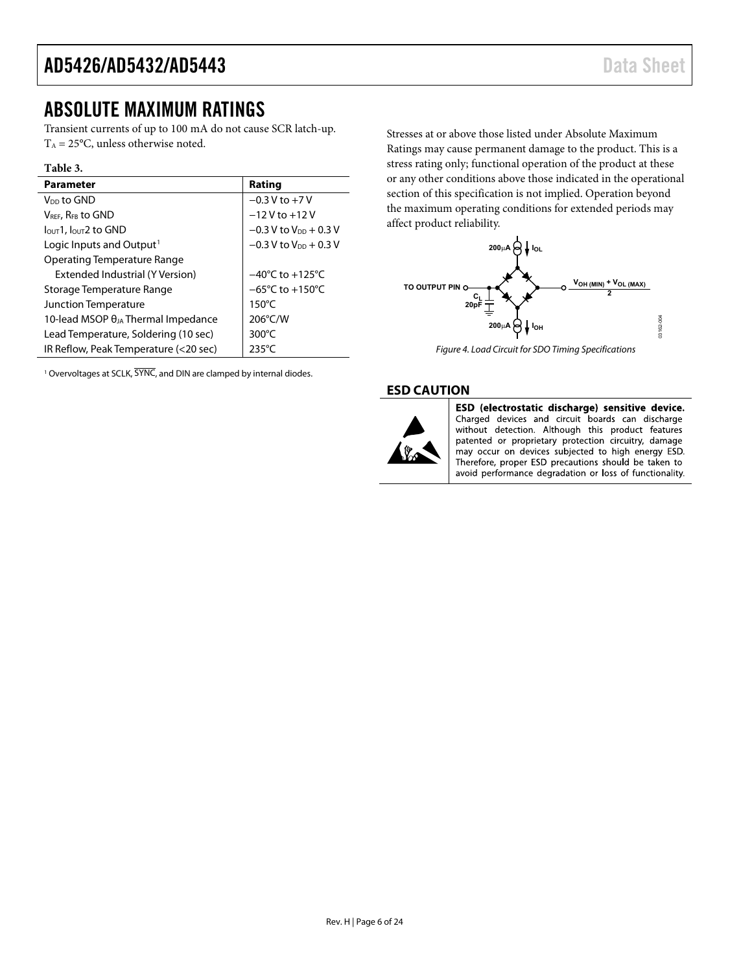### <span id="page-5-0"></span>ABSOLUTE MAXIMUM RATINGS

Transient currents of up to 100 mA do not cause SCR latch-up.  $T_A = 25$ °C, unless otherwise noted.

#### **Table 3.**

| <b>Parameter</b>                             | Rating                              |
|----------------------------------------------|-------------------------------------|
| V <sub>DD</sub> to GND                       | $-0.3$ V to $+7$ V                  |
| $V_{REF}$ , $R_{FB}$ to GND                  | $-12V$ to $+12V$                    |
| $IOUT1$ , $IOUT2$ to GND                     | $-0.3$ V to V <sub>DD</sub> + 0.3 V |
| Logic Inputs and Output <sup>1</sup>         | $-0.3$ V to V <sub>DD</sub> + 0.3 V |
| Operating Temperature Range                  |                                     |
| Extended Industrial (Y Version)              | $-40^{\circ}$ C to $+125^{\circ}$ C |
| Storage Temperature Range                    | $-65^{\circ}$ C to $+150^{\circ}$ C |
| <b>Junction Temperature</b>                  | $150^{\circ}$ C                     |
| 10-lead MSOP $\theta_{JA}$ Thermal Impedance | 206°C/W                             |
| Lead Temperature, Soldering (10 sec)         | $300^{\circ}$ C                     |
| IR Reflow, Peak Temperature (<20 sec)        | $235^{\circ}$ C                     |

<span id="page-5-3"></span><sup>1</sup> Overvoltages at SCLK,  $\overline{\text{SYNC}}$ , and DIN are clamped by internal diodes.

Stresses at or above those listed under Absolute Maximum Ratings may cause permanent damage to the product. This is a stress rating only; functional operation of the product at these or any other conditions above those indicated in the operational section of this specification is not implied. Operation beyond the maximum operating conditions for extended periods may affect product reliability.



*Figure 4. Load Circuit for SDO Timing Specifications*

#### <span id="page-5-2"></span><span id="page-5-1"></span>**ESD CAUTION**



ESD (electrostatic discharge) sensitive device. Charged devices and circuit boards can discharge without detection. Although this product features patented or proprietary protection circuitry, damage may occur on devices subjected to high energy ESD. Therefore, proper ESD precautions should be taken to avoid performance degradation or loss of functionality.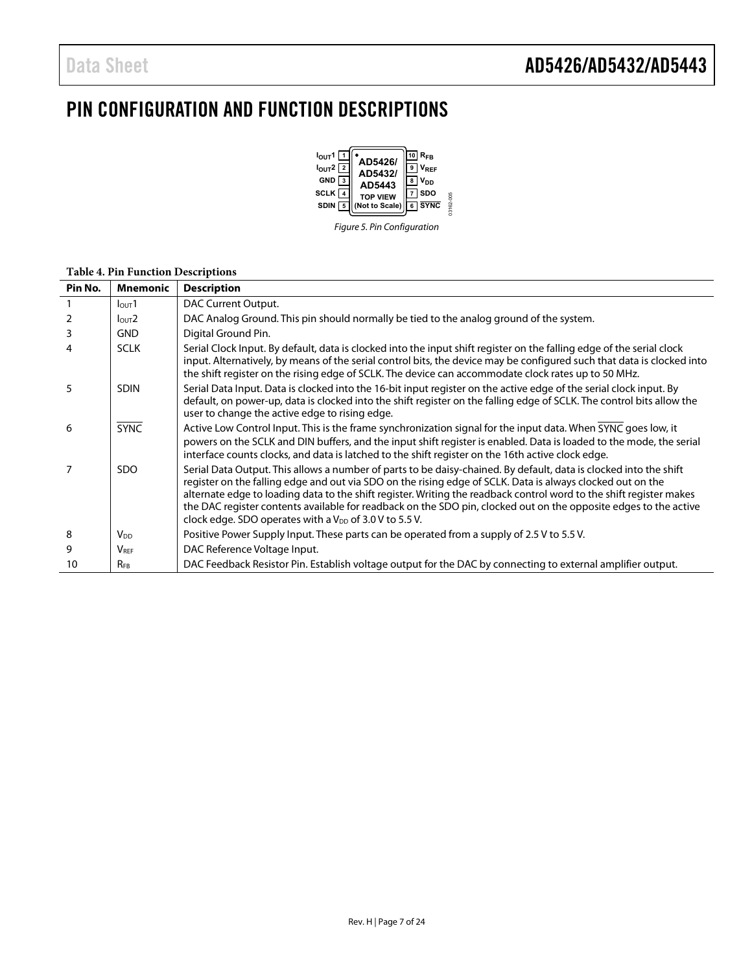### <span id="page-6-0"></span>PIN CONFIGURATION AND FUNCTION DESCRIPTIONS



*Figure 5. Pin Configuration*

#### **Table 4. Pin Function Descriptions**

| Pin No. | <b>Mnemonic</b>         | <b>Description</b>                                                                                                                                                                                                                                                                                                                                                                                                                                                                                                                        |
|---------|-------------------------|-------------------------------------------------------------------------------------------------------------------------------------------------------------------------------------------------------------------------------------------------------------------------------------------------------------------------------------------------------------------------------------------------------------------------------------------------------------------------------------------------------------------------------------------|
|         | $I_{\text{OUT}}1$       | DAC Current Output.                                                                                                                                                                                                                                                                                                                                                                                                                                                                                                                       |
|         | $I_{\text{OUT}}2$       | DAC Analog Ground. This pin should normally be tied to the analog ground of the system.                                                                                                                                                                                                                                                                                                                                                                                                                                                   |
| 3       | <b>GND</b>              | Digital Ground Pin.                                                                                                                                                                                                                                                                                                                                                                                                                                                                                                                       |
| 4       | <b>SCLK</b>             | Serial Clock Input. By default, data is clocked into the input shift register on the falling edge of the serial clock<br>input. Alternatively, by means of the serial control bits, the device may be configured such that data is clocked into<br>the shift register on the rising edge of SCLK. The device can accommodate clock rates up to 50 MHz.                                                                                                                                                                                    |
| 5       | <b>SDIN</b>             | Serial Data Input. Data is clocked into the 16-bit input register on the active edge of the serial clock input. By<br>default, on power-up, data is clocked into the shift register on the falling edge of SCLK. The control bits allow the<br>user to change the active edge to rising edge.                                                                                                                                                                                                                                             |
| 6       | <b>SYNC</b>             | Active Low Control Input. This is the frame synchronization signal for the input data. When SYNC goes low, it<br>powers on the SCLK and DIN buffers, and the input shift register is enabled. Data is loaded to the mode, the serial<br>interface counts clocks, and data is latched to the shift register on the 16th active clock edge.                                                                                                                                                                                                 |
|         | SDO.                    | Serial Data Output. This allows a number of parts to be daisy-chained. By default, data is clocked into the shift<br>register on the falling edge and out via SDO on the rising edge of SCLK. Data is always clocked out on the<br>alternate edge to loading data to the shift register. Writing the readback control word to the shift register makes<br>the DAC register contents available for readback on the SDO pin, clocked out on the opposite edges to the active<br>clock edge. SDO operates with a $V_{DD}$ of 3.0 V to 5.5 V. |
| 8       | V <sub>DD</sub>         | Positive Power Supply Input. These parts can be operated from a supply of 2.5 V to 5.5 V.                                                                                                                                                                                                                                                                                                                                                                                                                                                 |
| 9       | <b>V</b> <sub>REF</sub> | DAC Reference Voltage Input.                                                                                                                                                                                                                                                                                                                                                                                                                                                                                                              |
| 10      | $R_{FB}$                | DAC Feedback Resistor Pin. Establish voltage output for the DAC by connecting to external amplifier output.                                                                                                                                                                                                                                                                                                                                                                                                                               |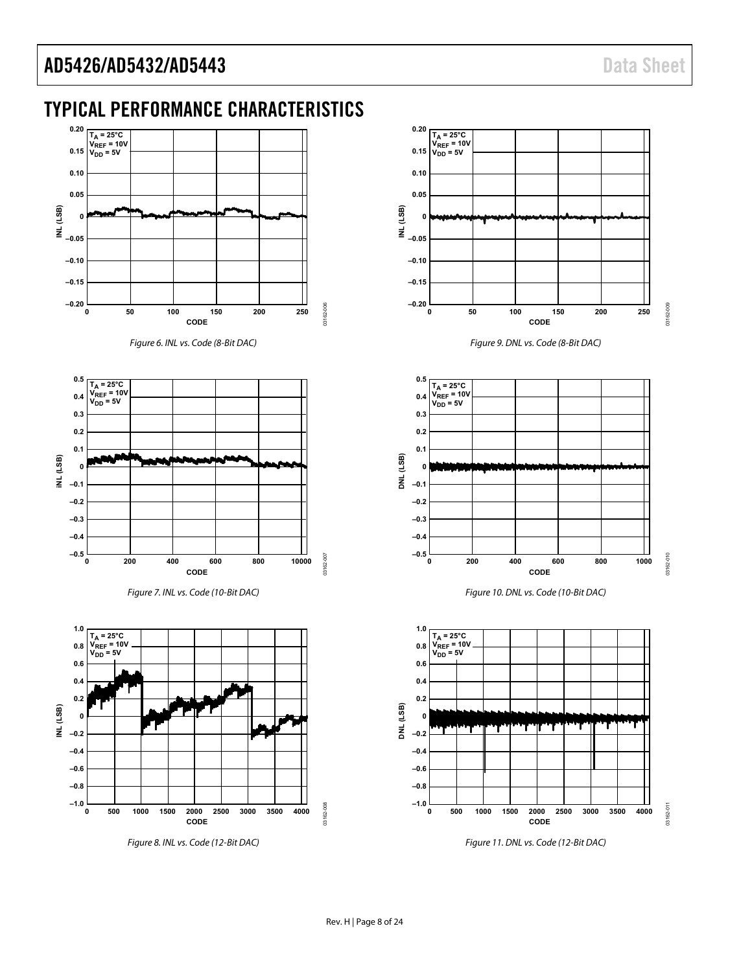<span id="page-7-0"></span>

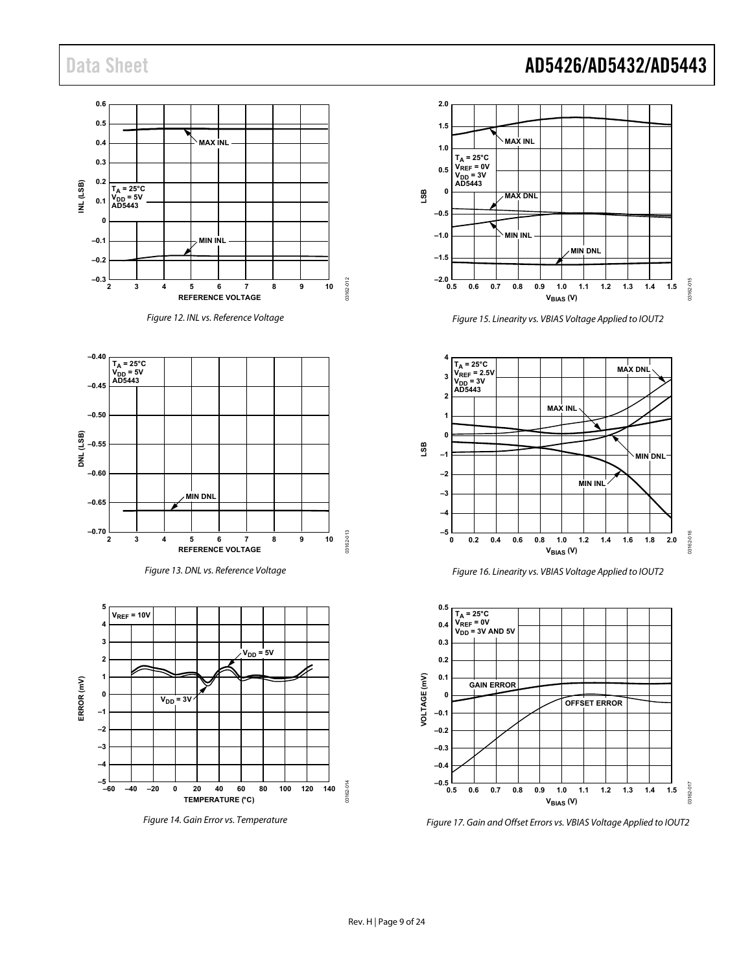









*Figure 14. Gain Error vs. Temperature*

### Data Sheet **AD5426/AD5432/AD5443**



*Figure 15. Linearity vs. VBIAS Voltage Applied to IOUT2*

<span id="page-8-0"></span>

*Figure 16. Linearity vs. VBIAS Voltage Applied to IOUT2*



*Figure 17. Gain and Offset Errors vs. VBIAS Voltage Applied to IOUT2*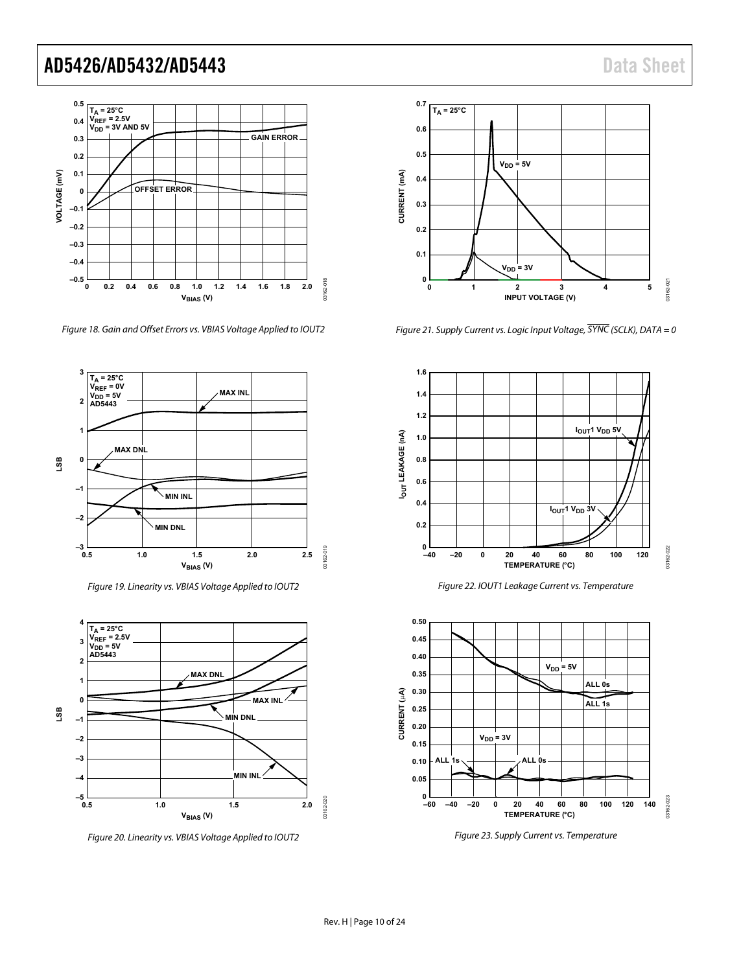

*Figure 18. Gain and Offset Errors vs. VBIAS Voltage Applied to IOUT2*



*Figure 19. Linearity vs. VBIAS Voltage Applied to IOUT2*



<span id="page-9-0"></span>*Figure 20. Linearity vs. VBIAS Voltage Applied to IOUT2*



*Figure 21. Supply Current vs. Logic Input Voltage, SYNC (SCLK), DATA = 0*



*Figure 22. IOUT1 Leakage Current vs. Temperature*



*Figure 23. Supply Current vs. Temperature*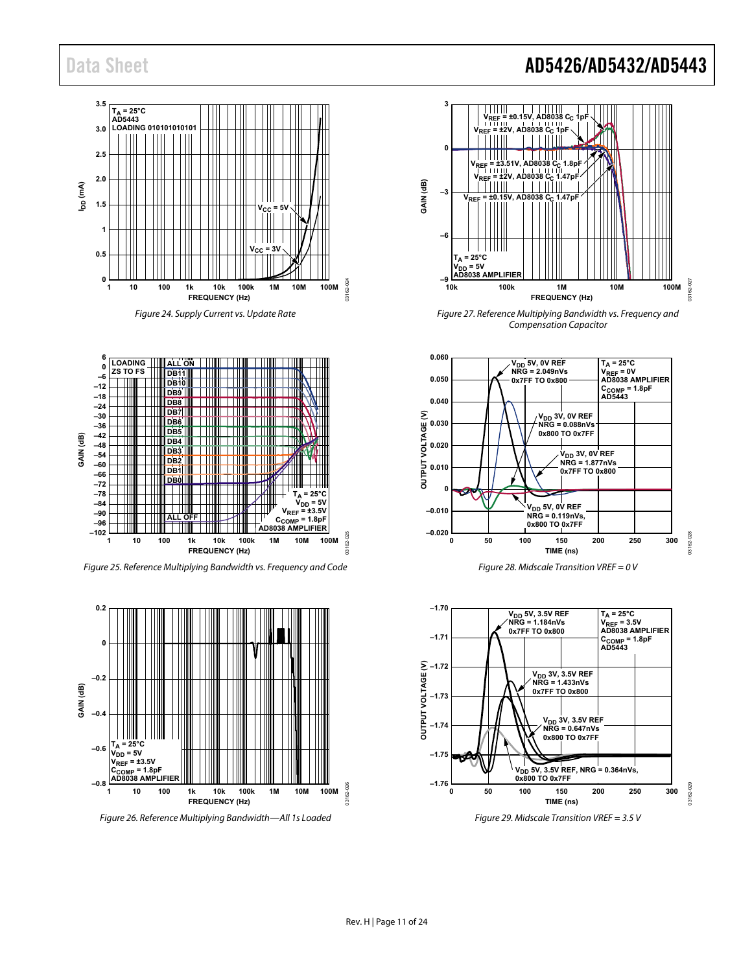





*Figure 25. Reference Multiplying Bandwidth vs. Frequency and Code*



*Figure 26. Reference Multiplying Bandwidth—All 1s Loaded*

### Data Sheet **AD5426/AD5432/AD5443**



*Figure 27. Reference Multiplying Bandwidth vs. Frequency and Compensation Capacitor*



*Figure 28. Midscale Transition VREF = 0 V*

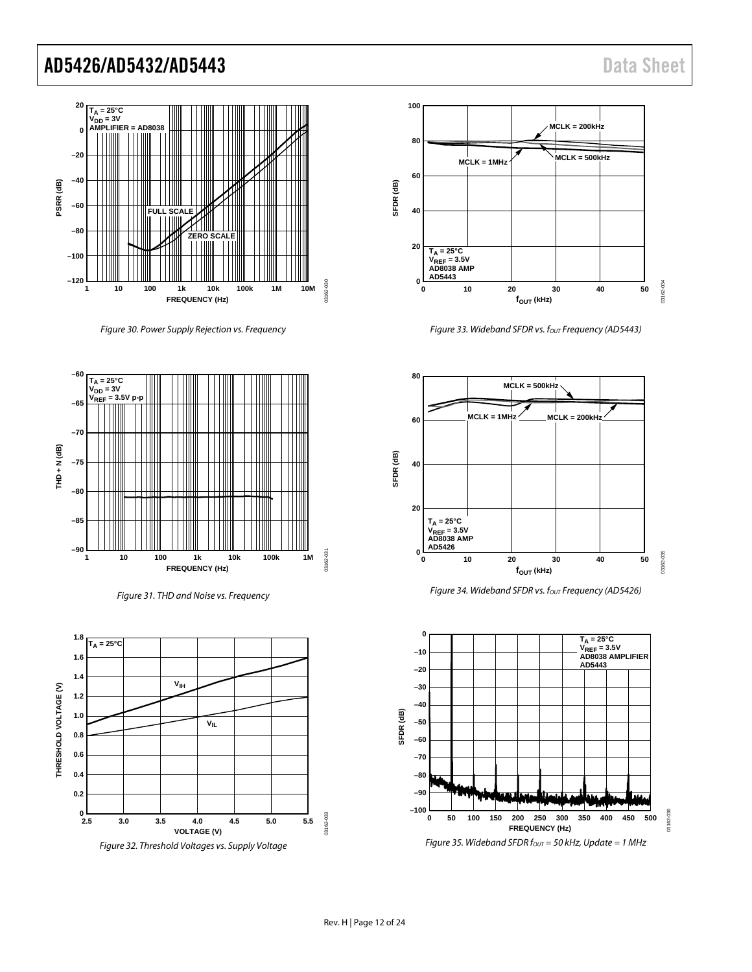

Figure 30. Power Supply Rejection vs. Frequency



Figure 31. THD and Noise vs. Frequency





Figure 33. Wideband SFDR vs. four Frequency (AD5443)





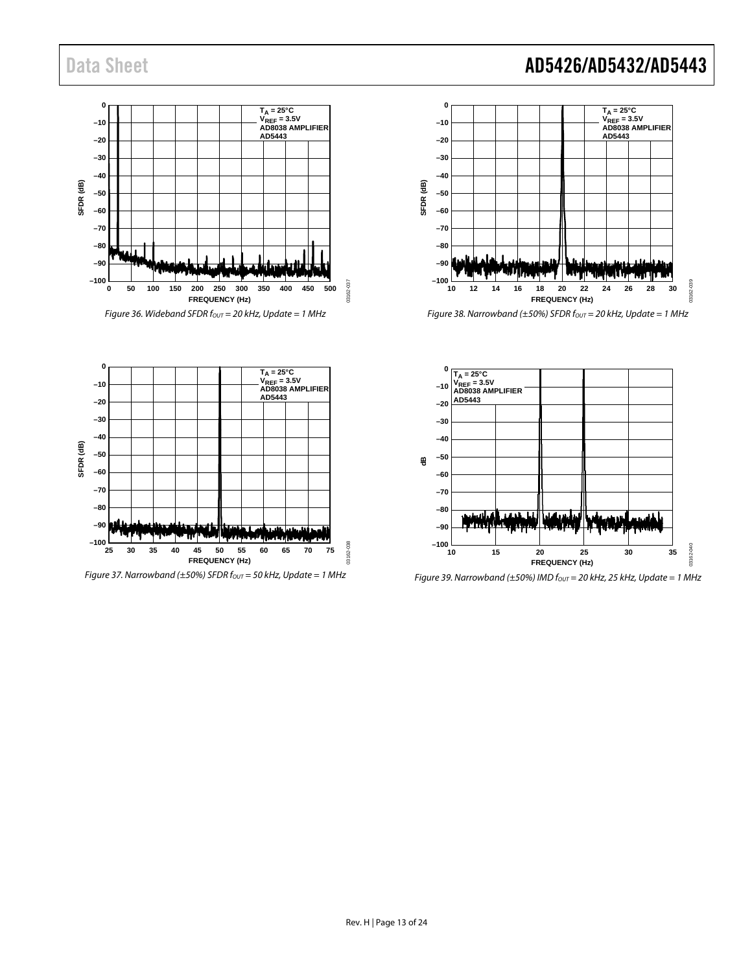



Figure 38. Narrowband ( $\pm$ 50%) SFDR f<sub>out</sub> = 20 kHz, Update = 1 MHz



Figure 39. Narrowband ( $\pm$ 50%) IMD f<sub>out</sub> = 20 kHz, 25 kHz, Update = 1 MHz

**0 TA = 25°C VREF = 3.5V AD8038 AMPLIFIER AD5443 –10 –20 –30 –40** SFDR (dB) **SFDR (dB) –50 –60 –70 –80 –90** 'W' v, Liontai **–100** 03162-038 **25 30 35 40 50 55 45 60 65 70 75 FREQUENCY (Hz)**

Figure 37. Narrowband ( $\pm$ 50%) SFDR f<sub>OUT</sub> = 50 kHz, Update = 1 MHz

03162-038

### Data Sheet **AD5426/AD5432/AD5443**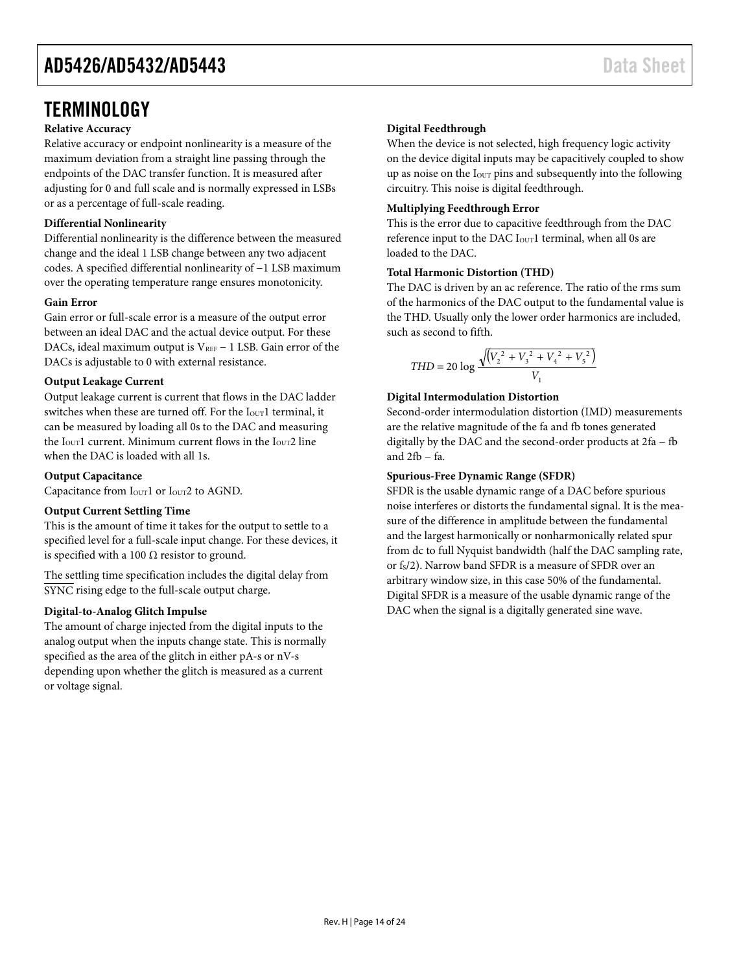### <span id="page-13-0"></span>**TERMINOLOGY**

#### **Relative Accuracy**

Relative accuracy or endpoint nonlinearity is a measure of the maximum deviation from a straight line passing through the endpoints of the DAC transfer function. It is measured after adjusting for 0 and full scale and is normally expressed in LSBs or as a percentage of full-scale reading.

#### **Differential Nonlinearity**

Differential nonlinearity is the difference between the measured change and the ideal 1 LSB change between any two adjacent codes. A specified differential nonlinearity of −1 LSB maximum over the operating temperature range ensures monotonicity.

#### **Gain Error**

Gain error or full-scale error is a measure of the output error between an ideal DAC and the actual device output. For these DACs, ideal maximum output is  $V_{REF}$  – 1 LSB. Gain error of the DACs is adjustable to 0 with external resistance.

#### **Output Leakage Current**

Output leakage current is current that flows in the DAC ladder switches when these are turned off. For the Iour1 terminal, it can be measured by loading all 0s to the DAC and measuring the  $I<sub>OUT</sub>1$  current. Minimum current flows in the  $I<sub>OUT</sub>2$  line when the DAC is loaded with all 1s.

#### **Output Capacitance**

Capacitance from I<sub>OUT</sub>1 or I<sub>OUT</sub>2 to AGND.

#### **Output Current Settling Time**

This is the amount of time it takes for the output to settle to a specified level for a full-scale input change. For these devices, it is specified with a 100  $\Omega$  resistor to ground.

The settling time specification includes the digital delay from SYNC rising edge to the full-scale output charge.

#### **Digital-to-Analog Glitch Impulse**

The amount of charge injected from the digital inputs to the analog output when the inputs change state. This is normally specified as the area of the glitch in either pA-s or nV-s depending upon whether the glitch is measured as a current or voltage signal.

#### **Digital Feedthrough**

When the device is not selected, high frequency logic activity on the device digital inputs may be capacitively coupled to show up as noise on the I<sub>OUT</sub> pins and subsequently into the following circuitry. This noise is digital feedthrough.

#### **Multiplying Feedthrough Error**

This is the error due to capacitive feedthrough from the DAC reference input to the DAC  $I_{\text{OUT}}1$  terminal, when all 0s are loaded to the DAC.

#### **Total Harmonic Distortion (THD)**

The DAC is driven by an ac reference. The ratio of the rms sum of the harmonics of the DAC output to the fundamental value is the THD. Usually only the lower order harmonics are included, such as second to fifth.

$$
THD = 20 \log \frac{\sqrt{(V_2^2 + V_3^2 + V_4^2 + V_5^2)}}{V_1}
$$

#### **Digital Intermodulation Distortion**

Second-order intermodulation distortion (IMD) measurements are the relative magnitude of the fa and fb tones generated digitally by the DAC and the second-order products at 2fa − fb and 2fb − fa.

#### **Spurious-Free Dynamic Range (SFDR)**

SFDR is the usable dynamic range of a DAC before spurious noise interferes or distorts the fundamental signal. It is the measure of the difference in amplitude between the fundamental and the largest harmonically or nonharmonically related spur from dc to full Nyquist bandwidth (half the DAC sampling rate, or f<sub>s</sub>/2). Narrow band SFDR is a measure of SFDR over an arbitrary window size, in this case 50% of the fundamental. Digital SFDR is a measure of the usable dynamic range of the DAC when the signal is a digitally generated sine wave.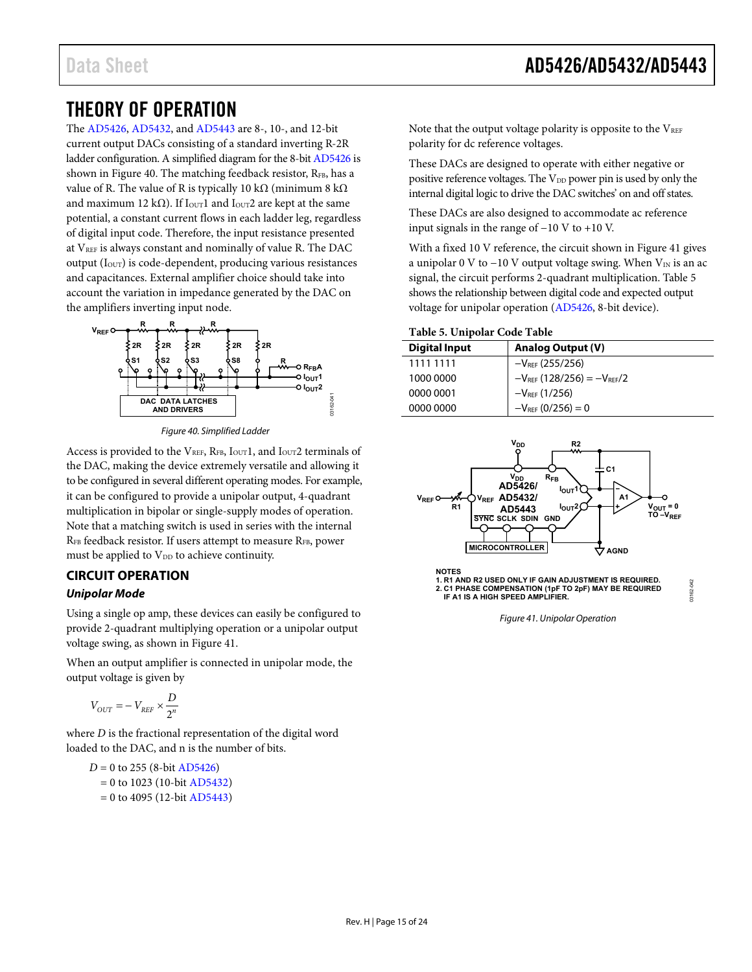### <span id="page-14-0"></span>THEORY OF OPERATION

The [AD5426,](http://www.analog.com/AD5426?doc=ad5426_5432_5443.pdf) [AD5432,](http://www.analog.com/AD5432?doc=ad5426_5432_5443.pdf) and [AD5443](http://www.analog.com/AD5443?doc=ad5426_5432_5443.pdf) are 8-, 10-, and 12-bit current output DACs consisting of a standard inverting R-2R ladder configuration. A simplified diagram for the 8-bi[t AD5426](http://www.analog.com/AD5426?doc=ad5426_5432_5443.pdf) is shown in [Figure 40.](#page-14-2) The matching feedback resistor, RFB, has a value of R. The value of R is typically 10 kΩ (minimum 8 kΩ and maximum 12 kΩ). If I<sub>OUT</sub>1 and I<sub>OUT</sub>2 are kept at the same potential, a constant current flows in each ladder leg, regardless of digital input code. Therefore, the input resistance presented at VREF is always constant and nominally of value R. The DAC output (IOUT) is code-dependent, producing various resistances and capacitances. External amplifier choice should take into account the variation in impedance generated by the DAC on the amplifiers inverting input node.



*Figure 40. Simplified Ladder*

<span id="page-14-2"></span>Access is provided to the  $V_{REF}$ ,  $R_{FB}$ ,  $I_{OUT}1$ , and  $I_{OUT}2$  terminals of the DAC, making the device extremely versatile and allowing it to be configured in several different operating modes. For example, it can be configured to provide a unipolar output, 4-quadrant multiplication in bipolar or single-supply modes of operation. Note that a matching switch is used in series with the internal RFB feedback resistor. If users attempt to measure RFB, power must be applied to  $V_{DD}$  to achieve continuity.

#### <span id="page-14-1"></span>**CIRCUIT OPERATION**

#### *Unipolar Mode*

Using a single op amp, these devices can easily be configured to provide 2-quadrant multiplying operation or a unipolar output voltage swing, as shown in [Figure 41.](#page-14-3)

When an output amplifier is connected in unipolar mode, the output voltage is given by

$$
V_{OUT} = -V_{REF} \times \frac{D}{2^n}
$$

where *D* is the fractional representation of the digital word loaded to the DAC, and n is the number of bits.

 $D = 0$  to 255 (8-bit [AD5426\)](http://www.analog.com/AD5426?doc=ad5426_5432_5443.pdf)  $= 0$  to 1023 (10-bi[t AD5432\)](http://www.analog.com/AD5432?doc=ad5426_5432_5443.pdf)  $= 0$  to 4095 (12-bi[t AD5443\)](http://www.analog.com/AD5443?doc=ad5426_5432_5443.pdf) Note that the output voltage polarity is opposite to the  $V_{REF}$ polarity for dc reference voltages.

These DACs are designed to operate with either negative or positive reference voltages. The V<sub>DD</sub> power pin is used by only the internal digital logic to drive the DAC switches' on and off states.

These DACs are also designed to accommodate ac reference input signals in the range of −10 V to +10 V.

With a fixed 10 V reference, the circuit shown in [Figure 41](#page-14-3) gives a unipolar 0 V to −10 V output voltage swing. When  $V_{IN}$  is an ac signal, the circuit performs 2-quadrant multiplication. [Table 5](#page-14-4) shows the relationship between digital code and expected output voltage for unipolar operation [\(AD5426,](http://www.analog.com/AD5426?doc=ad5426_5432_5443.pdf) 8-bit device).

#### <span id="page-14-4"></span>**Table 5. Unipolar Code Table**

| <b>Analog Output (V)</b>            |
|-------------------------------------|
| $-V_{REF}$ (255/256)                |
| $-V_{REF}$ (128/256) = $-V_{REF}/2$ |
| $-V_{REF}$ (1/256)                  |
| $-V_{REF}$ (0/256) = 0              |
|                                     |



<span id="page-14-3"></span>*Figure 41. Unipolar Operation*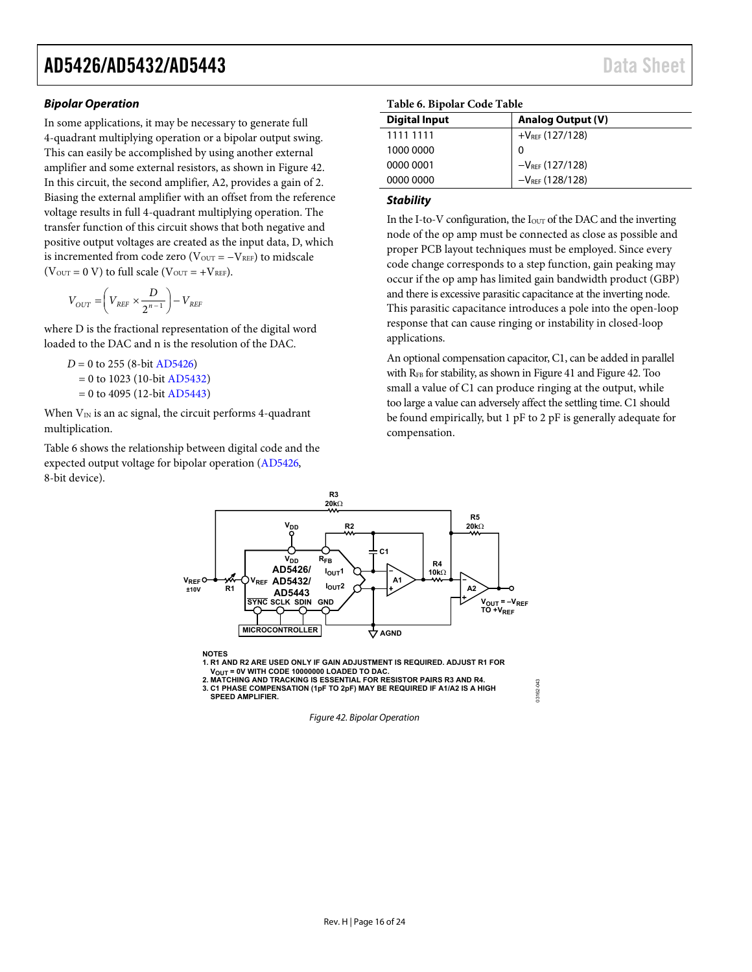#### *Bipolar Operation*

In some applications, it may be necessary to generate full 4-quadrant multiplying operation or a bipolar output swing. This can easily be accomplished by using another external amplifier and some external resistors, as shown i[n Figure 42.](#page-15-0)  In this circuit, the second amplifier, A2, provides a gain of 2. Biasing the external amplifier with an offset from the reference voltage results in full 4-quadrant multiplying operation. The transfer function of this circuit shows that both negative and positive output voltages are created as the input data, D, which is incremented from code zero ( $V_{OUT} = -V_{REF}$ ) to midscale ( $V_{\text{OUT}} = 0$  V) to full scale ( $V_{\text{OUT}} = +V_{\text{REF}}$ ).

$$
V_{OUT} = \left(V_{REF} \times \frac{D}{2^{n-1}}\right) - V_{REF}
$$

where D is the fractional representation of the digital word loaded to the DAC and n is the resolution of the DAC.

```
D = 0 to 255 (8-bit AD5426)
 = 0 to 1023 (10-bit AD5432)
= 0t AD5443)
```
When  $V_{IN}$  is an ac signal, the circuit performs 4-quadrant multiplication.

[Table 6](#page-15-1) shows the relationship between digital code and the expected output voltage for bipolar operation [\(AD5426,](http://www.analog.com/AD5426?doc=ad5426_5432_5443.pdf)  8-bit device).

#### <span id="page-15-1"></span>**Table 6. Bipolar Code Table**

| <b>Digital Input</b> | <b>Analog Output (V)</b> |
|----------------------|--------------------------|
| 1111 1111            | $+V_{REF}$ (127/128)     |
| 1000 0000            | 0                        |
| 0000 0001            | $-V_{REF}$ (127/128)     |
| 0000 0000            | $-V_{REF}$ (128/128)     |

#### *Stability*

In the I-to-V configuration, the  $I<sub>OUT</sub>$  of the DAC and the inverting node of the op amp must be connected as close as possible and proper PCB layout techniques must be employed. Since every code change corresponds to a step function, gain peaking may occur if the op amp has limited gain bandwidth product (GBP) and there is excessive parasitic capacitance at the inverting node. This parasitic capacitance introduces a pole into the open-loop response that can cause ringing or instability in closed-loop applications.

An optional compensation capacitor, C1, can be added in parallel with R<sub>FB</sub> for stability, as shown i[n Figure 41](#page-14-3) an[d Figure 42.](#page-15-0) Too small a value of C1 can produce ringing at the output, while too large a value can adversely affect the settling time. C1 should be found empirically, but 1 pF to 2 pF is generally adequate for compensation.

03162-043

13162-043



<span id="page-15-0"></span>**3. C1 PHASE COMPENSATION (1pF TO 2pF) MAY BE REQUIRED IF A1/A2 IS A HIGH SPEED AMPLIFIER.**

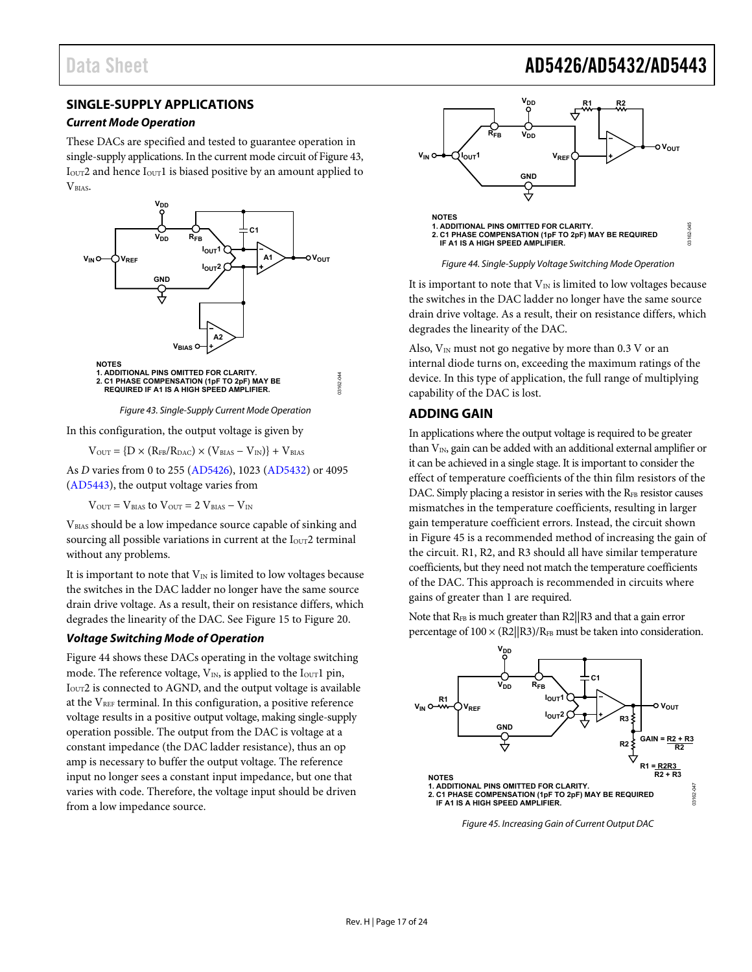### Data Sheet **AD5426/AD5432/AD5443**

### <span id="page-16-0"></span>**SINGLE-SUPPLY APPLICATIONS**

#### *Current Mode Operation*

These DACs are specified and tested to guarantee operation in single-supply applications. In the current mode circuit o[f Figure](#page-16-2) 43, I<sub>OUT</sub>2 and hence I<sub>OUT</sub>1 is biased positive by an amount applied to VBIAS.





<span id="page-16-2"></span>In this configuration, the output voltage is given by

 $V_{OUT} = \{D \times (R_{FB}/R_{DAC}) \times (V_{BIAS} - V_{IN})\} + V_{BIAS}$ 

As *D* varies from 0 to 255 [\(AD5426\)](http://www.analog.com/AD5426?doc=ad5426_5432_5443.pdf), 1023 [\(AD5432\)](http://www.analog.com/AD5432?doc=ad5426_5432_5443.pdf) or 4095 [\(AD5443\)](http://www.analog.com/AD5443?doc=ad5426_5432_5443.pdf), the output voltage varies from

 $V_{OUT} = V_{BIAS}$  to  $V_{OUT} = 2 V_{BIAS} - V_{IN}$ 

VBIAS should be a low impedance source capable of sinking and sourcing all possible variations in current at the I<sub>OUT</sub>2 terminal without any problems.

It is important to note that  $V_{IN}$  is limited to low voltages because the switches in the DAC ladder no longer have the same source drain drive voltage. As a result, their on resistance differs, which degrades the linearity of the DAC. See [Figure 15](#page-8-0) to [Figure 20.](#page-9-0)

#### *Voltage Switching Mode of Operation*

[Figure 44](#page-16-3) shows these DACs operating in the voltage switching mode. The reference voltage,  $V_{IN}$ , is applied to the I<sub>OUT</sub>1 pin, I<sub>OUT</sub>2 is connected to AGND, and the output voltage is available at the  $V_{REF}$  terminal. In this configuration, a positive reference voltage results in a positive output voltage, making single-supply operation possible. The output from the DAC is voltage at a constant impedance (the DAC ladder resistance), thus an op amp is necessary to buffer the output voltage. The reference input no longer sees a constant input impedance, but one that varies with code. Therefore, the voltage input should be driven from a low impedance source.



*Figure 44. Single-Supply Voltage Switching Mode Operation*

<span id="page-16-3"></span>It is important to note that  $V_{IN}$  is limited to low voltages because the switches in the DAC ladder no longer have the same source drain drive voltage. As a result, their on resistance differs, which degrades the linearity of the DAC.

Also,  $V_{IN}$  must not go negative by more than 0.3 V or an internal diode turns on, exceeding the maximum ratings of the device. In this type of application, the full range of multiplying capability of the DAC is lost.

#### <span id="page-16-1"></span>**ADDING GAIN**

In applications where the output voltage is required to be greater than  $V_{IN}$ , gain can be added with an additional external amplifier or it can be achieved in a single stage. It is important to consider the effect of temperature coefficients of the thin film resistors of the DAC. Simply placing a resistor in series with the RFB resistor causes mismatches in the temperature coefficients, resulting in larger gain temperature coefficient errors. Instead, the circuit shown in [Figure 45](#page-16-4) is a recommended method of increasing the gain of the circuit. R1, R2, and R3 should all have similar temperature coefficients, but they need not match the temperature coefficients of the DAC. This approach is recommended in circuits where gains of greater than 1 are required.

Note that R<sub>FB</sub> is much greater than R2||R3 and that a gain error percentage of  $100 \times (R2||R3)/R<sub>FB</sub>$  must be taken into consideration.



<span id="page-16-4"></span>*Figure 45. Increasing Gain of Current Output DAC*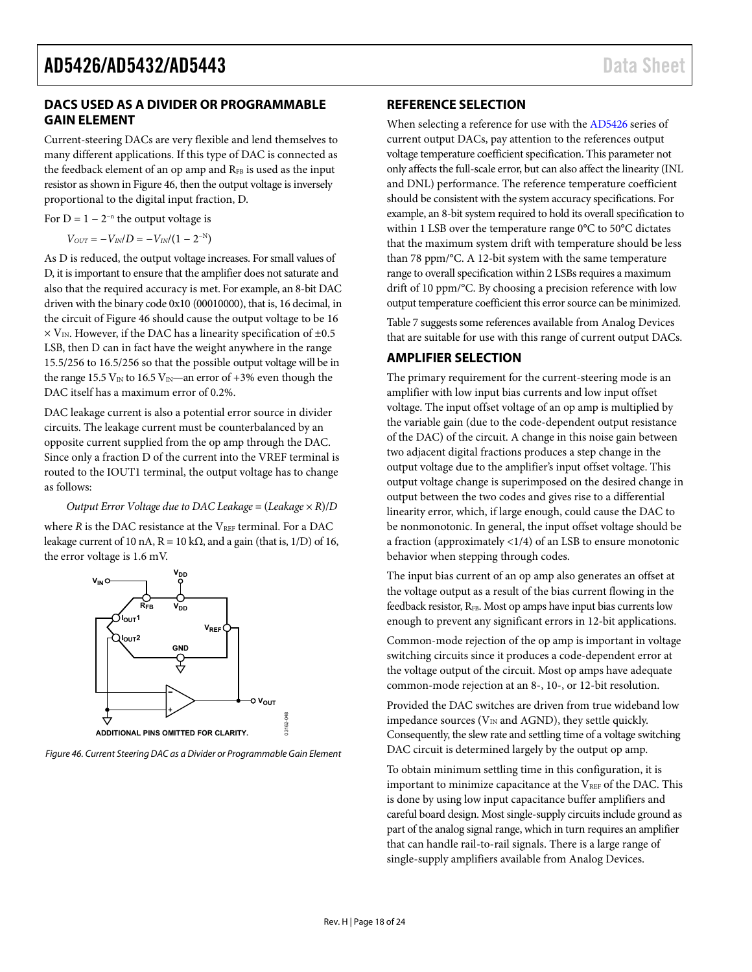#### <span id="page-17-0"></span>**DACS USED AS A DIVIDER OR PROGRAMMABLE GAIN ELEMENT**

Current-steering DACs are very flexible and lend themselves to many different applications. If this type of DAC is connected as the feedback element of an op amp and RFB is used as the input resistor as shown i[n Figure 46,](#page-17-3) then the output voltage is inversely proportional to the digital input fraction, D.

For  $D = 1 - 2^{-n}$  the output voltage is

$$
V_{OUT}=-V_{IN}/D=-V_{IN}/(1-2^{-N})
$$

As D is reduced, the output voltage increases. For small values of D, it is important to ensure that the amplifier does not saturate and also that the required accuracy is met. For example, an 8-bit DAC driven with the binary code 0x10 (00010000), that is, 16 decimal, in the circuit o[f Figure 46](#page-17-3) should cause the output voltage to be 16  $\times$  V<sub>IN</sub>. However, if the DAC has a linearity specification of  $\pm$ 0.5 LSB, then D can in fact have the weight anywhere in the range 15.5/256 to 16.5/256 so that the possible output voltage will be in the range 15.5  $V_{IN}$  to 16.5  $V_{IN}$ —an error of +3% even though the DAC itself has a maximum error of 0.2%.

DAC leakage current is also a potential error source in divider circuits. The leakage current must be counterbalanced by an opposite current supplied from the op amp through the DAC. Since only a fraction D of the current into the VREF terminal is routed to the IOUT1 terminal, the output voltage has to change as follows:

#### *Output Error Voltage due to DAC Leakage* = (*Leakage* × *R*)/*D*

where  $R$  is the DAC resistance at the  $V_{REF}$  terminal. For a DAC leakage current of 10 nA,  $R = 10$  kΩ, and a gain (that is, 1/D) of 16, the error voltage is 1.6 mV.



<span id="page-17-4"></span><span id="page-17-3"></span>*Figure 46. Current Steering DAC as a Divider or Programmable Gain Element*

03162-048

#### <span id="page-17-1"></span>**REFERENCE SELECTION**

When selecting a reference for use with th[e AD5426](http://www.analog.com/AD5426?doc=ad5426_5432_5443.pdf) series of current output DACs, pay attention to the references output voltage temperature coefficient specification. This parameter not only affects the full-scale error, but can also affect the linearity (INL and DNL) performance. The reference temperature coefficient should be consistent with the system accuracy specifications. For example, an 8-bit system required to hold its overall specification to within 1 LSB over the temperature range 0°C to 50°C dictates that the maximum system drift with temperature should be less than 78 ppm/°C. A 12-bit system with the same temperature range to overall specification within 2 LSBs requires a maximum drift of 10 ppm/°C. By choosing a precision reference with low output temperature coefficient this error source can be minimized.

[Table](#page-17-4) 7 suggests some references available from Analog Devices that are suitable for use with this range of current output DACs.

#### <span id="page-17-2"></span>**AMPLIFIER SELECTION**

The primary requirement for the current-steering mode is an amplifier with low input bias currents and low input offset voltage. The input offset voltage of an op amp is multiplied by the variable gain (due to the code-dependent output resistance of the DAC) of the circuit. A change in this noise gain between two adjacent digital fractions produces a step change in the output voltage due to the amplifier's input offset voltage. This output voltage change is superimposed on the desired change in output between the two codes and gives rise to a differential linearity error, which, if large enough, could cause the DAC to be nonmonotonic. In general, the input offset voltage should be a fraction (approximately <1/4) of an LSB to ensure monotonic behavior when stepping through codes.

The input bias current of an op amp also generates an offset at the voltage output as a result of the bias current flowing in the feedback resistor, RFB. Most op amps have input bias currents low enough to prevent any significant errors in 12-bit applications.

Common-mode rejection of the op amp is important in voltage switching circuits since it produces a code-dependent error at the voltage output of the circuit. Most op amps have adequate common-mode rejection at an 8-, 10-, or 12-bit resolution.

Provided the DAC switches are driven from true wideband low impedance sources ( $V_{IN}$  and AGND), they settle quickly. Consequently, the slew rate and settling time of a voltage switching DAC circuit is determined largely by the output op amp.

To obtain minimum settling time in this configuration, it is important to minimize capacitance at the  $V_{REF}$  of the DAC. This is done by using low input capacitance buffer amplifiers and careful board design. Most single-supply circuits include ground as part of the analog signal range, which in turn requires an amplifier that can handle rail-to-rail signals. There is a large range of single-supply amplifiers available from Analog Devices.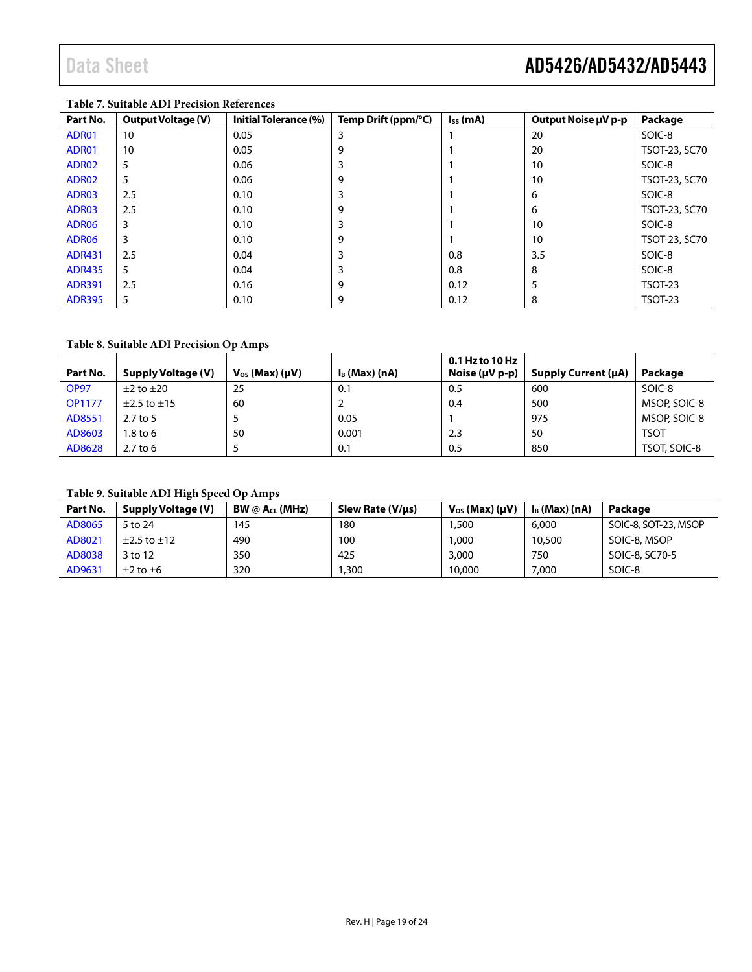## Data Sheet **AD5426/AD5432/AD5443**

| Part No.          | <b>Output Voltage (V)</b> | Initial Tolerance (%) | Temp Drift (ppm/°C) | $I_{SS}$ (mA) | Output Noise µV p-p | Package        |
|-------------------|---------------------------|-----------------------|---------------------|---------------|---------------------|----------------|
| ADR01             | 10                        | 0.05                  | 3                   |               | 20                  | SOIC-8         |
| ADR01             | 10                        | 0.05                  | 9                   |               | 20                  | TSOT-23, SC70  |
| ADR02             | 5                         | 0.06                  | 3                   |               | 10                  | SOIC-8         |
| ADR02             | 5                         | 0.06                  | 9                   |               | 10                  | TSOT-23, SC70  |
| ADR03             | 2.5                       | 0.10                  |                     |               | 6                   | SOIC-8         |
| ADR03             | 2.5                       | 0.10                  | 9                   |               | 6                   | TSOT-23, SC70  |
| ADR <sub>06</sub> | 3                         | 0.10                  |                     |               | 10                  | SOIC-8         |
| ADR <sub>06</sub> | 3                         | 0.10                  | 9                   |               | 10                  | TSOT-23, SC70  |
| <b>ADR431</b>     | 2.5                       | 0.04                  | 3                   | 0.8           | 3.5                 | SOIC-8         |
| <b>ADR435</b>     | 5                         | 0.04                  |                     | 0.8           | 8                   | SOIC-8         |
| <b>ADR391</b>     | 2.5                       | 0.16                  | 9                   | 0.12          | 5                   | <b>TSOT-23</b> |
| <b>ADR395</b>     | 5                         | 0.10                  | 9                   | 0.12          | 8                   | <b>TSOT-23</b> |

#### **Table 7. Suitable ADI Precision References**

#### **Table 8. Suitable ADI Precision Op Amps**

|               |                     |                           |                  | 0.1 Hz to 10 Hz       |                            |              |
|---------------|---------------------|---------------------------|------------------|-----------------------|----------------------------|--------------|
| Part No.      | Supply Voltage (V)  | $V_{OS}$ (Max) ( $\mu$ V) | $I_B$ (Max) (nA) | Noise $(\mu V p - p)$ | <b>Supply Current (µA)</b> | Package      |
| <b>OP97</b>   | $\pm 2$ to $\pm 20$ | 25                        | 0.1              | 0.5                   | 600                        | SOIC-8       |
| <b>OP1177</b> | $±2.5$ to $±15$     | 60                        |                  | 0.4                   | 500                        | MSOP, SOIC-8 |
| AD8551        | $2.7$ to 5          |                           | 0.05             |                       | 975                        | MSOP, SOIC-8 |
| AD8603        | 1.8 to 6            | 50                        | 0.001            | 2.3                   | 50                         | <b>TSOT</b>  |
| AD8628        | $2.7$ to 6          |                           | 0.1              | 0.5                   | 850                        | TSOT, SOIC-8 |

### **Table 9. Suitable ADI High Speed Op Amps**

| Part No. | <b>Supply Voltage (V)</b> | BW @ A <sub>CL</sub> (MHz) | Slew Rate (V/µs) | $V_{OS}$ (Max) ( $\mu$ V) | $I_B$ (Max) (nA) | Package              |
|----------|---------------------------|----------------------------|------------------|---------------------------|------------------|----------------------|
| AD8065   | 5 to 24                   | 145                        | 180              | .500                      | 6,000            | SOIC-8, SOT-23, MSOP |
| AD8021   | $\pm 2.5$ to $\pm 12$     | 490                        | 100              | .000                      | 10,500           | SOIC-8, MSOP         |
| AD8038   | 3 to 12                   | 350                        | 425              | 3,000                     | 750              | SOIC-8, SC70-5       |
| AD9631   | $\pm 2$ to $\pm 6$        | 320                        | .300             | 10,000                    | 7,000            | SOIC-8               |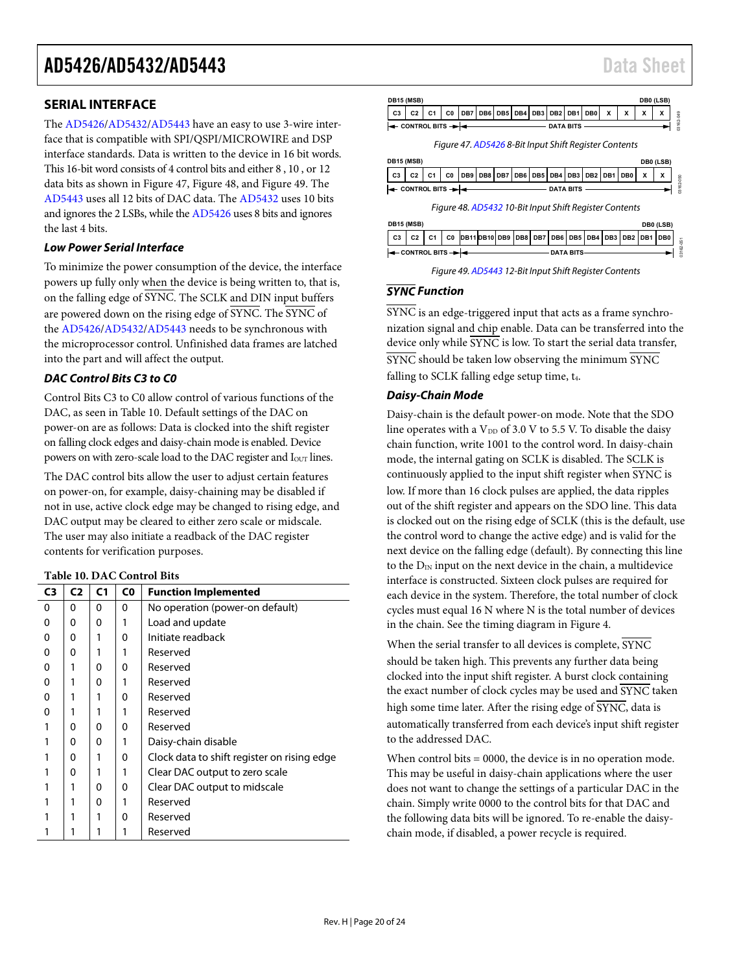### <span id="page-19-0"></span>**SERIAL INTERFACE**

The [AD5426](http://www.analog.com/AD5426?doc=ad5426_5432_5443.pdf)[/AD5432/](http://www.analog.com/AD5432?doc=ad5426_5432_5443.pdf)[AD5443](http://www.analog.com/AD5443?doc=ad5426_5432_5443.pdf) have an easy to use 3-wire interface that is compatible with SPI/QSPI/MICROWIRE and DSP interface standards. Data is written to the device in 16 bit words. This 16-bit word consists of 4 control bits and either 8 , 10 , or 12 data bits as shown i[n Figure 47,](#page-19-1) [Figure 48,](#page-19-2) and [Figure 49.](#page-19-3) The [AD5443](http://www.analog.com/AD5443?doc=ad5426_5432_5443.pdf) uses all 12 bits of DAC data. The [AD5432](http://www.analog.com/AD5432?doc=ad5426_5432_5443.pdf) uses 10 bits and ignores the 2 LSBs, while th[e AD5426](http://www.analog.com/AD5426?doc=ad5426_5432_5443.pdf) uses 8 bits and ignores the last 4 bits.

#### *Low Power Serial Interface*

To minimize the power consumption of the device, the interface powers up fully only when the device is being written to, that is, on the falling edge of SYNC. The SCLK and DIN input buffers are powered down on the rising edge of SYNC. The SYNC of the [AD5426](http://www.analog.com/AD5426?doc=ad5426_5432_5443.pdf)[/AD5432/](http://www.analog.com/AD5432?doc=ad5426_5432_5443.pdf)[AD5443](http://www.analog.com/AD5443?doc=ad5426_5432_5443.pdf) needs to be synchronous with the microprocessor control. Unfinished data frames are latched into the part and will affect the output.

#### *DAC Control Bits C3 to C0*

Control Bits C3 to C0 allow control of various functions of the DAC, as seen i[n Table 10.](#page-19-4) Default settings of the DAC on power-on are as follows: Data is clocked into the shift register on falling clock edges and daisy-chain mode is enabled. Device powers on with zero-scale load to the DAC register and I<sub>OUT</sub> lines.

The DAC control bits allow the user to adjust certain features on power-on, for example, daisy-chaining may be disabled if not in use, active clock edge may be changed to rising edge, and DAC output may be cleared to either zero scale or midscale. The user may also initiate a readback of the DAC register contents for verification purposes.

#### <span id="page-19-4"></span>**Table 10. DAC Control Bits**

| C3 | C <sub>2</sub> | C <sub>1</sub> | C0 | <b>Function Implemented</b>                 |
|----|----------------|----------------|----|---------------------------------------------|
| 0  | 0              | 0              | 0  | No operation (power-on default)             |
| 0  | 0              | 0              | 1  | Load and update                             |
| 0  | 0              | 1              | 0  | Initiate readback                           |
| 0  | 0              |                | 1  | Reserved                                    |
| 0  | 1              | 0              | 0  | Reserved                                    |
| 0  |                | 0              |    | Reserved                                    |
| 0  |                | 1              | 0  | Reserved                                    |
| 0  |                |                |    | Reserved                                    |
|    | 0              | 0              | 0  | Reserved                                    |
|    | 0              | 0              |    | Daisy-chain disable                         |
|    | 0              | 1              | 0  | Clock data to shift register on rising edge |
|    | 0              |                | 1  | Clear DAC output to zero scale              |
|    | 1              | 0              | 0  | Clear DAC output to midscale                |
|    |                | 0              |    | Reserved                                    |
|    |                |                | 0  | Reserved                                    |
|    |                | 1              | 1  | Reserved                                    |

<span id="page-19-1"></span>

<span id="page-19-2"></span>

| Figure 49. AD5443 12-Bit Input Shift Register Contents |
|--------------------------------------------------------|
|                                                        |

#### <span id="page-19-3"></span>*SYNC Function*

 $\overline{\text{SYNC}}$  is an edge-triggered input that acts as a frame synchronization signal and chip enable. Data can be transferred into the device only while  $\overline{\text{SYNC}}$  is low. To start the serial data transfer, SYNC should be taken low observing the minimum SYNC falling to SCLK falling edge setup time, t<sub>4</sub>.

#### *Daisy-Chain Mode*

Daisy-chain is the default power-on mode. Note that the SDO line operates with a  $V_{DD}$  of 3.0 V to 5.5 V. To disable the daisy chain function, write 1001 to the control word. In daisy-chain mode, the internal gating on SCLK is disabled. The SCLK is continuously applied to the input shift register when  $\overline{\text{SYNC}}$  is low. If more than 16 clock pulses are applied, the data ripples out of the shift register and appears on the SDO line. This data is clocked out on the rising edge of SCLK (this is the default, use the control word to change the active edge) and is valid for the next device on the falling edge (default). By connecting this line to the  $D_{IN}$  input on the next device in the chain, a multidevice interface is constructed. Sixteen clock pulses are required for each device in the system. Therefore, the total number of clock cycles must equal 16 N where N is the total number of devices in the chain. See the timing diagram i[n Figure 4.](#page-5-2)

When the serial transfer to all devices is complete,  $\overline{\text{SYNC}}$ should be taken high. This prevents any further data being clocked into the input shift register. A burst clock containing the exact number of clock cycles may be used and SYNC taken high some time later. After the rising edge of  $\overline{\text{SYNC}}$ , data is automatically transferred from each device's input shift register to the addressed DAC.

When control bits = 0000, the device is in no operation mode. This may be useful in daisy-chain applications where the user does not want to change the settings of a particular DAC in the chain. Simply write 0000 to the control bits for that DAC and the following data bits will be ignored. To re-enable the daisychain mode, if disabled, a power recycle is required.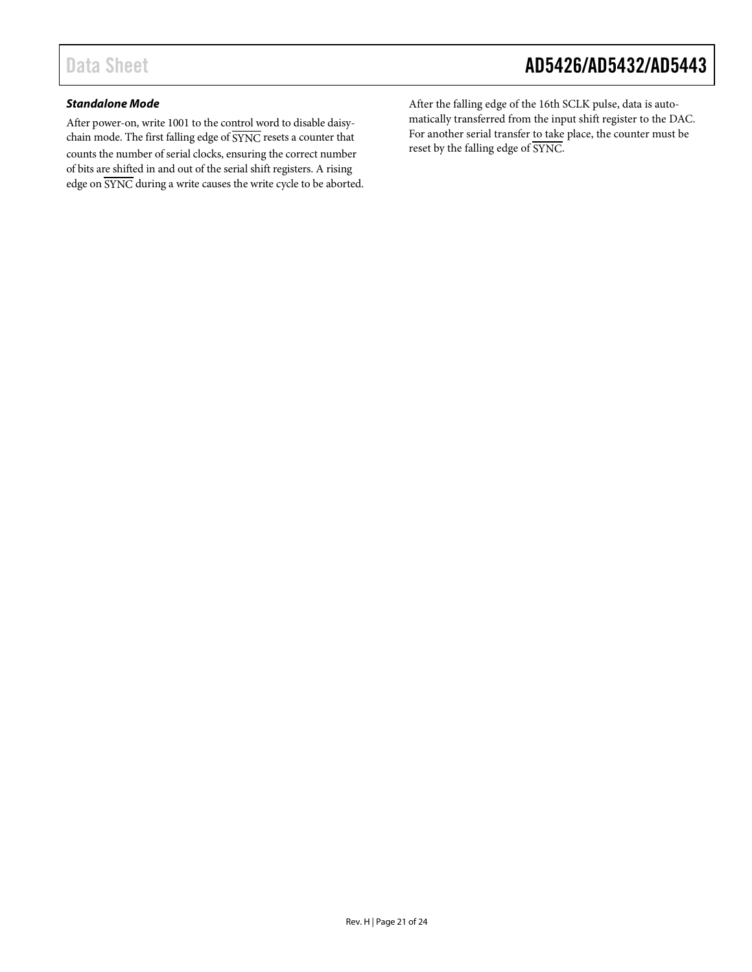#### *Standalone Mode*

After power-on, write 1001 to the control word to disable daisychain mode. The first falling edge of SYNC resets a counter that counts the number of serial clocks, ensuring the correct number of bits are shifted in and out of the serial shift registers. A rising edge on SYNC during a write causes the write cycle to be aborted. After the falling edge of the 16th SCLK pulse, data is automatically transferred from the input shift register to the DAC. For another serial transfer to take place, the counter must be reset by the falling edge of SYNC.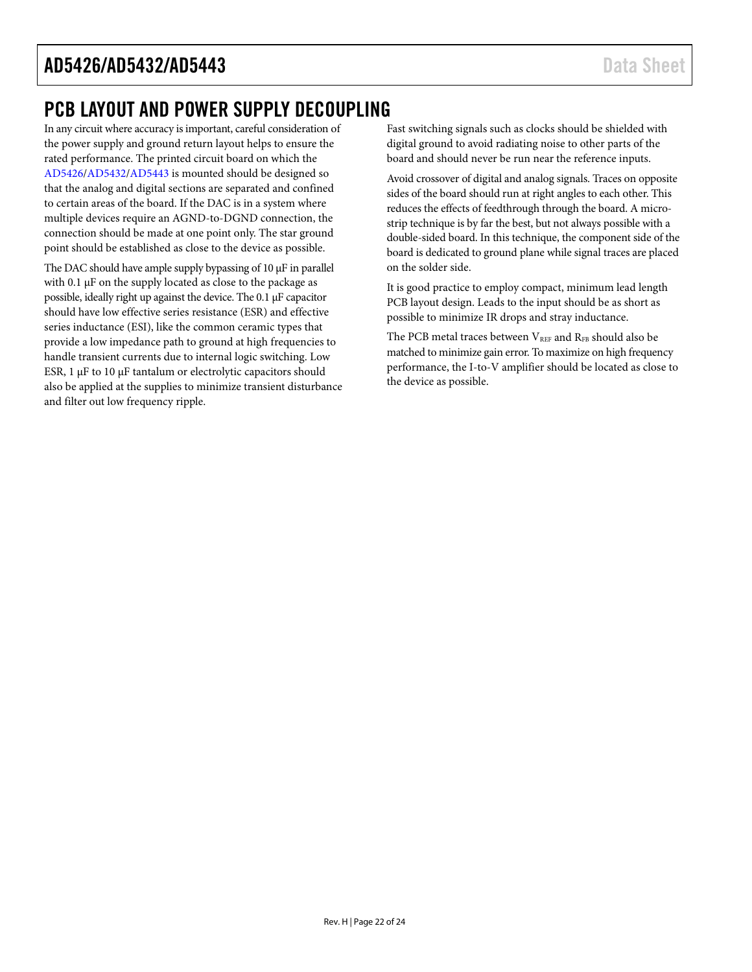### <span id="page-21-0"></span>PCB LAYOUT AND POWER SUPPLY DECOUPLING

In any circuit where accuracy isimportant, careful consideration of the power supply and ground return layout helps to ensure the rated performance. The printed circuit board on which the [AD5426/](http://www.analog.com/AD5426?doc=ad5426_5432_5443.pdf)[AD5432/](http://www.analog.com/AD5432?doc=ad5426_5432_5443.pdf)[AD5443](http://www.analog.com/AD5443?doc=ad5426_5432_5443.pdf) is mounted should be designed so that the analog and digital sections are separated and confined to certain areas of the board. If the DAC is in a system where multiple devices require an AGND-to-DGND connection, the connection should be made at one point only. The star ground point should be established as close to the device as possible.

The DAC should have ample supply bypassing of  $10 \mu$ F in parallel with 0.1  $\mu$ F on the supply located as close to the package as possible, ideally right up against the device. The 0.1 µF capacitor should have low effective series resistance (ESR) and effective series inductance (ESI), like the common ceramic types that provide a low impedance path to ground at high frequencies to handle transient currents due to internal logic switching. Low ESR,  $1 \mu$ F to  $10 \mu$ F tantalum or electrolytic capacitors should also be applied at the supplies to minimize transient disturbance and filter out low frequency ripple.

Fast switching signals such as clocks should be shielded with digital ground to avoid radiating noise to other parts of the board and should never be run near the reference inputs.

Avoid crossover of digital and analog signals. Traces on opposite sides of the board should run at right angles to each other. This reduces the effects of feedthrough through the board. A microstrip technique is by far the best, but not always possible with a double-sided board. In this technique, the component side of the board is dedicated to ground plane while signal traces are placed on the solder side.

It is good practice to employ compact, minimum lead length PCB layout design. Leads to the input should be as short as possible to minimize IR drops and stray inductance.

The PCB metal traces between VREF and RFB should also be matched to minimize gain error. To maximize on high frequency performance, the I-to-V amplifier should be located as close to the device as possible.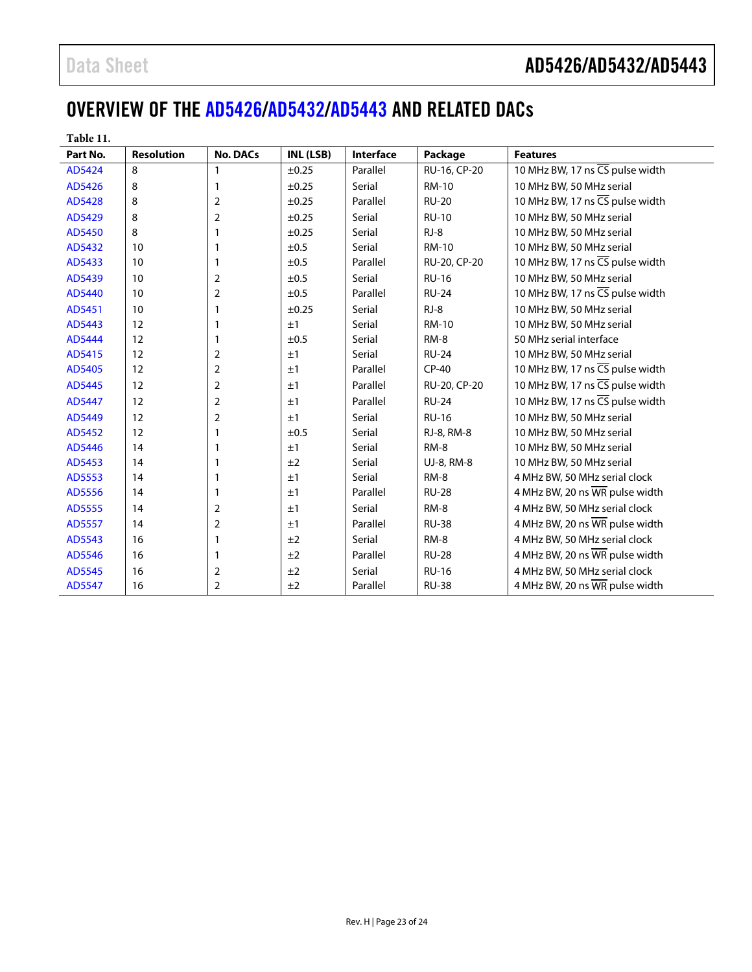## <span id="page-22-0"></span>OVERVIEW OF THE [AD5426/](http://www.analog.com/AD5426?doc=ad5426_5432_5443.pdf)[AD5432](http://www.analog.com/AD5432?doc=ad5426_5432_5443.pdf)[/AD5443](http://www.analog.com/AD5443?doc=ad5426_5432_5443.pdf) AND RELATED DACs

| Table 11.     |                   |                 |            |           |              |                                                     |
|---------------|-------------------|-----------------|------------|-----------|--------------|-----------------------------------------------------|
| Part No.      | <b>Resolution</b> | <b>No. DACs</b> | INL (LSB)  | Interface | Package      | <b>Features</b>                                     |
| AD5424        | 8                 | 1               | $\pm 0.25$ | Parallel  | RU-16, CP-20 | 10 MHz BW, 17 ns CS pulse width                     |
| AD5426        | 8                 | 1               | $\pm 0.25$ | Serial    | <b>RM-10</b> | 10 MHz BW, 50 MHz serial                            |
| AD5428        | 8                 | 2               | ±0.25      | Parallel  | <b>RU-20</b> | 10 MHz BW, 17 ns CS pulse width                     |
| AD5429        | 8                 | 2               | $\pm 0.25$ | Serial    | <b>RU-10</b> | 10 MHz BW, 50 MHz serial                            |
| AD5450        | 8                 | 1               | ±0.25      | Serial    | $RJ-8$       | 10 MHz BW, 50 MHz serial                            |
| AD5432        | 10                | 1               | ±0.5       | Serial    | <b>RM-10</b> | 10 MHz BW, 50 MHz serial                            |
| AD5433        | 10                | 1               | ±0.5       | Parallel  | RU-20, CP-20 | 10 MHz BW, 17 ns CS pulse width                     |
| AD5439        | 10                | 2               | ±0.5       | Serial    | <b>RU-16</b> | 10 MHz BW, 50 MHz serial                            |
| AD5440        | 10                | 2               | ±0.5       | Parallel  | <b>RU-24</b> | 10 MHz BW, 17 ns CS pulse width                     |
| AD5451        | 10                | 1               | $\pm 0.25$ | Serial    | RJ-8         | 10 MHz BW, 50 MHz serial                            |
| AD5443        | 12                | 1               | ±1         | Serial    | <b>RM-10</b> | 10 MHz BW, 50 MHz serial                            |
| AD5444        | 12                | 1               | ±0.5       | Serial    | RM-8         | 50 MHz serial interface                             |
| AD5415        | 12                | 2               | ±1         | Serial    | <b>RU-24</b> | 10 MHz BW, 50 MHz serial                            |
| AD5405        | 12                | 2               | ±1         | Parallel  | $CP-40$      | 10 MHz BW, 17 ns CS pulse width                     |
| AD5445        | 12                | 2               | ±1         | Parallel  | RU-20, CP-20 | 10 MHz BW, 17 ns CS pulse width                     |
| AD5447        | 12                | 2               | ±1         | Parallel  | <b>RU-24</b> | 10 MHz BW, 17 ns $\overline{\text{CS}}$ pulse width |
| AD5449        | 12                | 2               | ±1         | Serial    | <b>RU-16</b> | 10 MHz BW, 50 MHz serial                            |
| AD5452        | 12                | 1               | ±0.5       | Serial    | RJ-8, RM-8   | 10 MHz BW, 50 MHz serial                            |
| AD5446        | 14                | 1               | ±1         | Serial    | RM-8         | 10 MHz BW, 50 MHz serial                            |
| AD5453        | 14                | 1               | ±2         | Serial    | UJ-8, RM-8   | 10 MHz BW, 50 MHz serial                            |
| AD5553        | 14                | 1               | ±1         | Serial    | RM-8         | 4 MHz BW, 50 MHz serial clock                       |
| AD5556        | 14                | 1               | ±1         | Parallel  | <b>RU-28</b> | 4 MHz BW, 20 ns WR pulse width                      |
| <b>AD5555</b> | 14                | 2               | ±1         | Serial    | RM-8         | 4 MHz BW, 50 MHz serial clock                       |
| AD5557        | 14                | 2               | ±1         | Parallel  | <b>RU-38</b> | 4 MHz BW, 20 ns WR pulse width                      |
| AD5543        | 16                | 1               | ±2         | Serial    | RM-8         | 4 MHz BW, 50 MHz serial clock                       |
| AD5546        | 16                | 1               | ±2         | Parallel  | <b>RU-28</b> | 4 MHz BW, 20 ns WR pulse width                      |
| AD5545        | 16                | 2               | ±2         | Serial    | <b>RU-16</b> | 4 MHz BW, 50 MHz serial clock                       |
| AD5547        | 16                | $\overline{2}$  | ±2         | Parallel  | <b>RU-38</b> | 4 MHz BW, 20 ns WR pulse width                      |